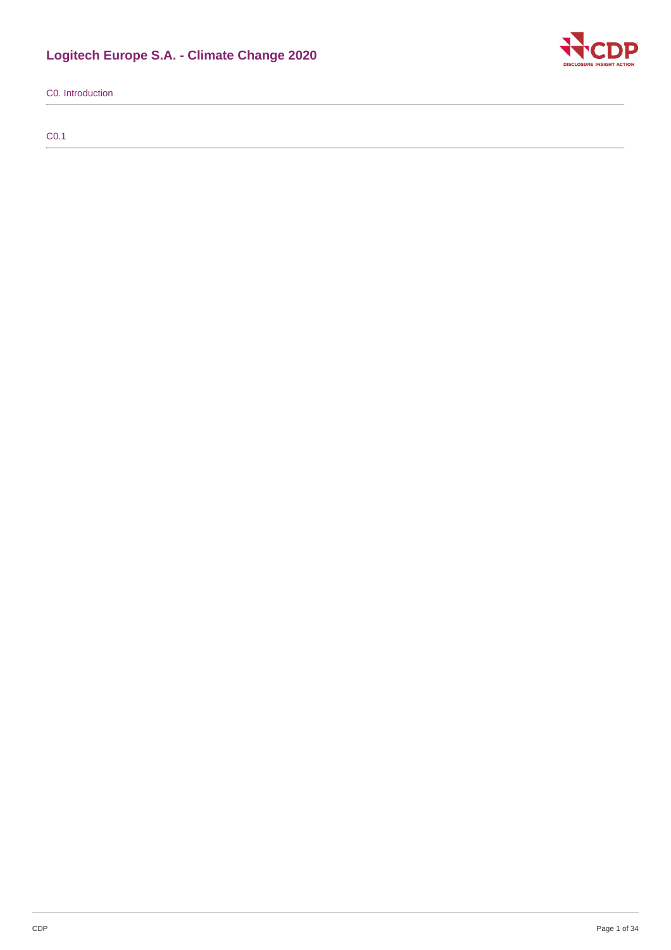# **Logitech Europe S.A. - Climate Change 2020**



C0. Introduction

C0.1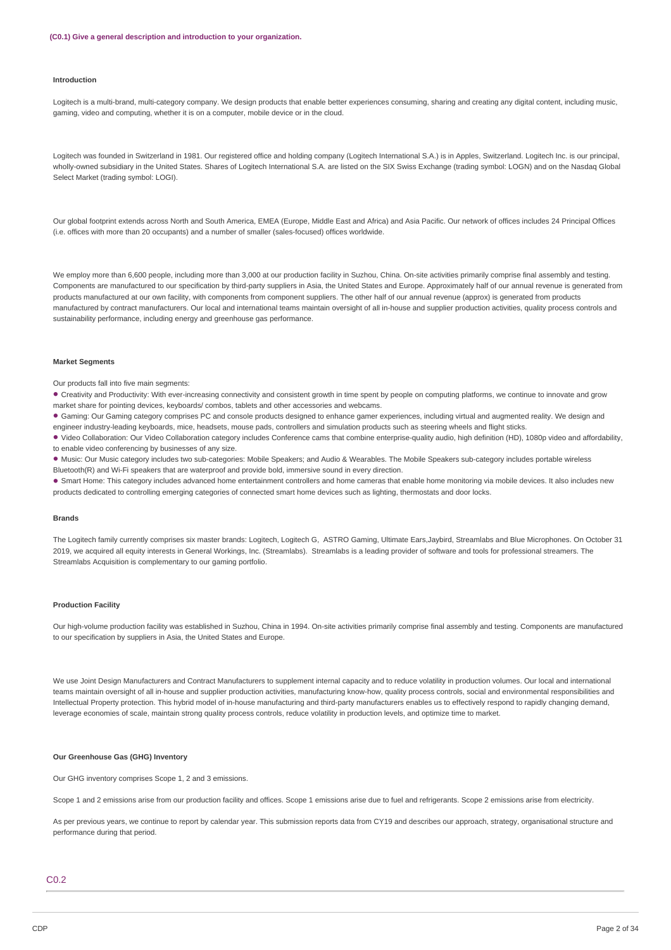#### **Introduction**

Logitech is a multi-brand, multi-category company. We design products that enable better experiences consuming, sharing and creating any digital content, including music, gaming, video and computing, whether it is on a computer, mobile device or in the cloud.

Logitech was founded in Switzerland in 1981. Our registered office and holding company (Logitech International S.A.) is in Apples, Switzerland. Logitech Inc. is our principal, wholly-owned subsidiary in the United States. Shares of Logitech International S.A. are listed on the SIX Swiss Exchange (trading symbol: LOGN) and on the Nasdaq Global Select Market (trading symbol: LOGI).

Our global footprint extends across North and South America, EMEA (Europe, Middle East and Africa) and Asia Pacific. Our network of offices includes 24 Principal Offices (i.e. offices with more than 20 occupants) and a number of smaller (sales-focused) offices worldwide.

We employ more than 6,600 people, including more than 3,000 at our production facility in Suzhou, China. On-site activities primarily comprise final assembly and testing. Components are manufactured to our specification by third-party suppliers in Asia, the United States and Europe. Approximately half of our annual revenue is generated from products manufactured at our own facility, with components from component suppliers. The other half of our annual revenue (approx) is generated from products manufactured by contract manufacturers. Our local and international teams maintain oversight of all in-house and supplier production activities, quality process controls and sustainability performance, including energy and greenhouse gas performance.

#### **Market Segments**

Our products fall into five main segments:

• Creativity and Productivity: With ever-increasing connectivity and consistent growth in time spent by people on computing platforms, we continue to innovate and grow market share for pointing devices, keyboards/ combos, tablets and other accessories and webcams.

Gaming: Our Gaming category comprises PC and console products designed to enhance gamer experiences, including virtual and augmented reality. We design and • engineer industry-leading keyboards, mice, headsets, mouse pads, controllers and simulation products such as steering wheels and flight sticks.

Video Collaboration: Our Video Collaboration category includes Conference cams that combine enterprise-quality audio, high definition (HD), 1080p video and affordability, • to enable video conferencing by businesses of any size.

Music: Our Music category includes two sub-categories: Mobile Speakers; and Audio & Wearables. The Mobile Speakers sub-category includes portable wireless •

Bluetooth(R) and Wi-Fi speakers that are waterproof and provide bold, immersive sound in every direction.

Smart Home: This category includes advanced home entertainment controllers and home cameras that enable home monitoring via mobile devices. It also includes new • products dedicated to controlling emerging categories of connected smart home devices such as lighting, thermostats and door locks.

#### **Brands**

The Logitech family currently comprises six master brands: Logitech, Logitech G, ASTRO Gaming, Ultimate Ears,Jaybird, Streamlabs and Blue Microphones. On October 31 2019, we acquired all equity interests in General Workings, Inc. (Streamlabs). Streamlabs is a leading provider of software and tools for professional streamers. The Streamlabs Acquisition is complementary to our gaming portfolio.

#### **Production Facility**

Our high-volume production facility was established in Suzhou, China in 1994. On-site activities primarily comprise final assembly and testing. Components are manufactured to our specification by suppliers in Asia, the United States and Europe.

We use Joint Design Manufacturers and Contract Manufacturers to supplement internal capacity and to reduce volatility in production volumes. Our local and international teams maintain oversight of all in-house and supplier production activities, manufacturing know-how, quality process controls, social and environmental responsibilities and Intellectual Property protection. This hybrid model of in-house manufacturing and third-party manufacturers enables us to effectively respond to rapidly changing demand, leverage economies of scale, maintain strong quality process controls, reduce volatility in production levels, and optimize time to market.

#### **Our Greenhouse Gas (GHG) Inventory**

Our GHG inventory comprises Scope 1, 2 and 3 emissions.

Scope 1 and 2 emissions arise from our production facility and offices. Scope 1 emissions arise due to fuel and refrigerants. Scope 2 emissions arise from electricity.

As per previous years, we continue to report by calendar year. This submission reports data from CY19 and describes our approach, strategy, organisational structure and performance during that period.

## C0.2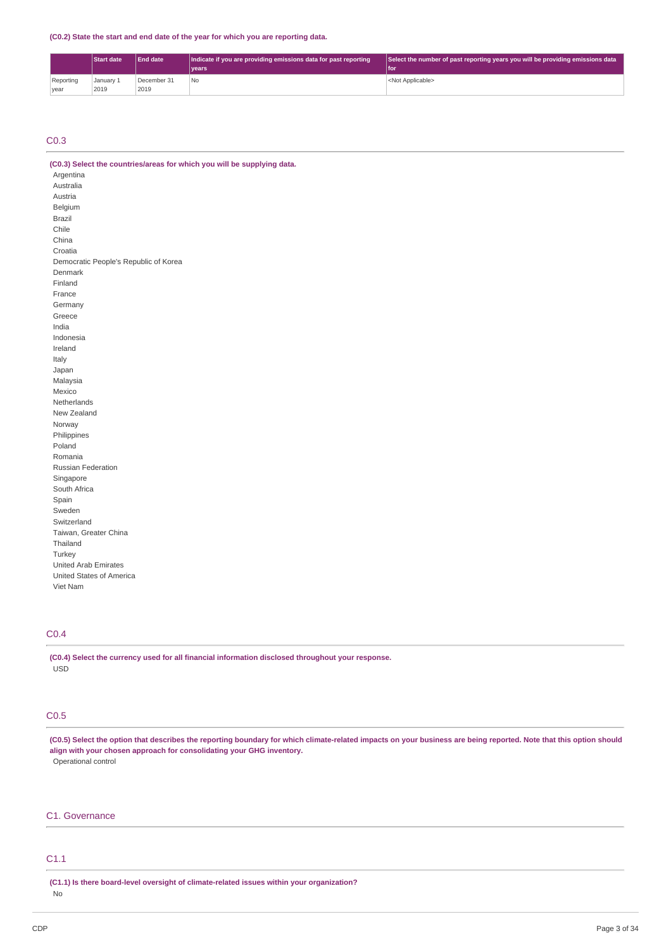**(C0.2) State the start and end date of the year for which you are reporting data.**

|           | <b>Start date</b> | <b>End date</b> | Indicate if you are providing emissions data for past reporting | Select the number of past reporting years you will be providing emissions data |
|-----------|-------------------|-----------------|-----------------------------------------------------------------|--------------------------------------------------------------------------------|
|           |                   |                 | vears <sup>1</sup>                                              | l for                                                                          |
| Reporting | January 1         | December 31     | No                                                              | <not applicable=""></not>                                                      |
| vear      | 2019              | 2019            |                                                                 |                                                                                |

## C0.3

China

| (C0.3) Select the countries/areas for which you will be supplying data. |
|-------------------------------------------------------------------------|
| Argentina                                                               |
| Australia                                                               |
| Austria                                                                 |
| Belgium                                                                 |
| Brazil                                                                  |
| Chile                                                                   |

Croatia Democratic People's Republic of Korea Denmark Finland France Germany Greece India Indonesia Ireland Italy Japan Malaysia Mexico Netherlands New Zealand Norway Philippines Poland Romania Russian Federation Singapore South Africa Spain Sweden Switzerland Taiwan, Greater China Thailand Turkey United Arab Emirates United States of America Viet Nam

## C0.4

**(C0.4) Select the currency used for all financial information disclosed throughout your response.** USD

## C0.5

(C0.5) Select the option that describes the reporting boundary for which climate-related impacts on your business are being reported. Note that this option should **align with your chosen approach for consolidating your GHG inventory.** Operational control

## C1. Governance

## C1.1

**(C1.1) Is there board-level oversight of climate-related issues within your organization?** No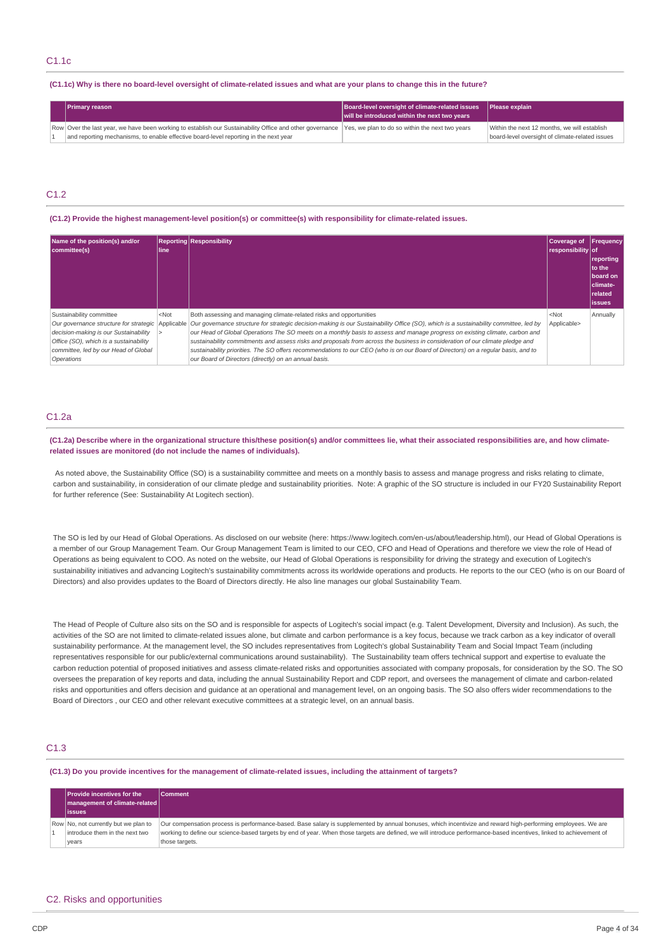(C1.1c) Why is there no board-level oversight of climate-related issues and what are your plans to change this in the future?

| <b>Primary reason</b>                                                                                                                                    | Board-level oversight of climate-related issues | <b>Please explain</b>                           |
|----------------------------------------------------------------------------------------------------------------------------------------------------------|-------------------------------------------------|-------------------------------------------------|
|                                                                                                                                                          | will be introduced within the next two years    |                                                 |
| Row Over the last year, we have been working to establish our Sustainability Office and other governance Yes, we plan to do so within the next two years |                                                 | Within the next 12 months, we will establish    |
| and reporting mechanisms, to enable effective board-level reporting in the next year                                                                     |                                                 | board-level oversight of climate-related issues |

## C<sub>12</sub>

**(C1.2) Provide the highest management-level position(s) or committee(s) with responsibility for climate-related issues.**

| Name of the position(s) and/or<br>committee(s)                                                                                                                    | line    | <b>Reporting Responsibility</b>                                                                                                                                                                                                                                                                                                                                                                                                                                                                                                                                                                                                                                                                                              | Coverage of<br>responsibility of | <b>Frequency</b><br>reporting<br><b>Ito the</b><br>board on<br>Iclimate-<br><b>related</b><br><b>lissues</b> |
|-------------------------------------------------------------------------------------------------------------------------------------------------------------------|---------|------------------------------------------------------------------------------------------------------------------------------------------------------------------------------------------------------------------------------------------------------------------------------------------------------------------------------------------------------------------------------------------------------------------------------------------------------------------------------------------------------------------------------------------------------------------------------------------------------------------------------------------------------------------------------------------------------------------------------|----------------------------------|--------------------------------------------------------------------------------------------------------------|
| Sustainability committee<br>decision-making is our Sustainability<br>Office (SO), which is a sustainability<br>committee, led by our Head of Global<br>Operations | $<$ Not | Both assessing and managing climate-related risks and opportunities<br>Our governance structure for strategic Applicable Our governance structure for strategic decision-making is our Sustainability Office (SO), which is a sustainability committee, led by<br>our Head of Global Operations The SO meets on a monthly basis to assess and manage progress on existing climate, carbon and<br>sustainability commitments and assess risks and proposals from across the business in consideration of our climate pledge and<br>sustainability priorities. The SO offers recommendations to our CEO (who is on our Board of Directors) on a reqular basis, and to<br>our Board of Directors (directly) on an annual basis. | $<$ Not<br>Applicable>           | Annually                                                                                                     |

### C1.2a

(C1.2a) Describe where in the organizational structure this/these position(s) and/or committees lie, what their associated responsibilities are, and how climate**related issues are monitored (do not include the names of individuals).**

As noted above, the Sustainability Office (SO) is a sustainability committee and meets on a monthly basis to assess and manage progress and risks relating to climate. carbon and sustainability, in consideration of our climate pledge and sustainability priorities. Note: A graphic of the SO structure is included in our FY20 Sustainability Report for further reference (See: Sustainability At Logitech section).

The SO is led by our Head of Global Operations. As disclosed on our website (here: https://www.logitech.com/en-us/about/leadership.html), our Head of Global Operations is a member of our Group Management Team. Our Group Management Team is limited to our CEO, CFO and Head of Operations and therefore we view the role of Head of Operations as being equivalent to COO. As noted on the website, our Head of Global Operations is responsibility for driving the strategy and execution of Logitech's sustainability initiatives and advancing Logitech's sustainability commitments across its worldwide operations and products. He reports to the our CEO (who is on our Board of Directors) and also provides updates to the Board of Directors directly. He also line manages our global Sustainability Team.

The Head of People of Culture also sits on the SO and is responsible for aspects of Logitech's social impact (e.g. Talent Development, Diversity and Inclusion). As such, the activities of the SO are not limited to climate-related issues alone, but climate and carbon performance is a key focus, because we track carbon as a key indicator of overall sustainability performance. At the management level, the SO includes representatives from Logitech's global Sustainability Team and Social Impact Team (including representatives responsible for our public/external communications around sustainability). The Sustainability team offers technical support and expertise to evaluate the carbon reduction potential of proposed initiatives and assess climate-related risks and opportunities associated with company proposals, for consideration by the SO. The SO oversees the preparation of key reports and data, including the annual Sustainability Report and CDP report, and oversees the management of climate and carbon-related risks and opportunities and offers decision and guidance at an operational and management level, on an ongoing basis. The SO also offers wider recommendations to the Board of Directors , our CEO and other relevant executive committees at a strategic level, on an annual basis.

## C1.3

(C1.3) Do you provide incentives for the management of climate-related issues, including the attainment of targets?

| <b>Provide incentives for the</b><br>  management of climate-related  <br>lissues | <b>Comment</b>                                                                                                                                                                                                                                                                                                                                         |
|-----------------------------------------------------------------------------------|--------------------------------------------------------------------------------------------------------------------------------------------------------------------------------------------------------------------------------------------------------------------------------------------------------------------------------------------------------|
| Row No, not currently but we plan to<br>introduce them in the next two<br>years   | Our compensation process is performance-based. Base salary is supplemented by annual bonuses, which incentivize and reward high-performing employees. We are<br>working to define our science-based targets by end of year. When those targets are defined, we will introduce performance-based incentives, linked to achievement of<br>those targets. |

#### C2. Risks and opportunities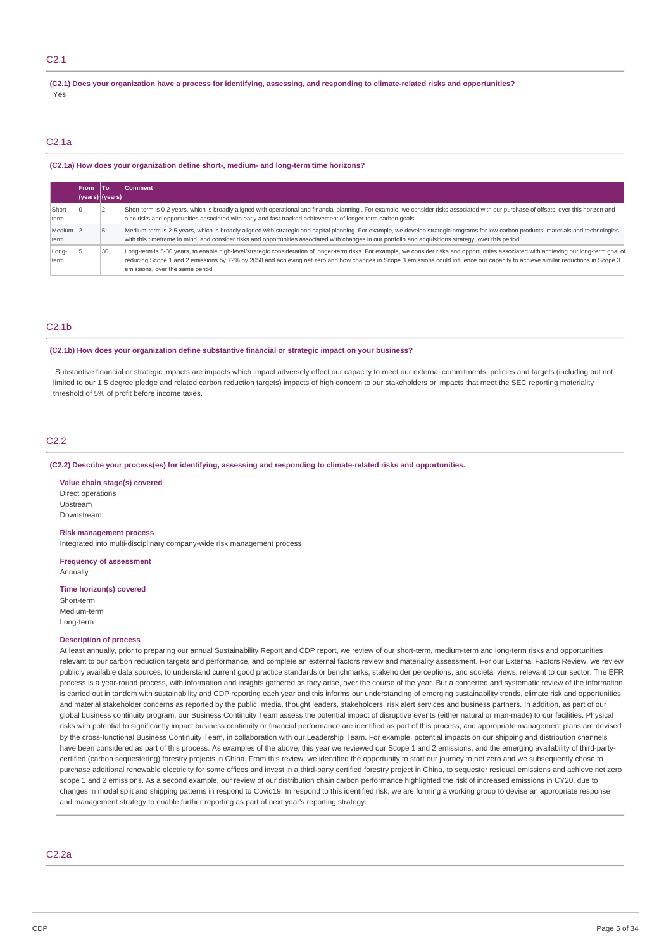## C2.1

(C2.1) Does your organization have a process for identifying, assessing, and responding to climate-related risks and opportunities? Yes

## C2.1a

#### **(C2.1a) How does your organization define short-, medium- and long-term time horizons?**

|                   | From<br> (years) (years) | lTo | l Comment                                                                                                                                                                                                                                                                                                                                                                                                            |
|-------------------|--------------------------|-----|----------------------------------------------------------------------------------------------------------------------------------------------------------------------------------------------------------------------------------------------------------------------------------------------------------------------------------------------------------------------------------------------------------------------|
| Short-<br>term    |                          |     | Short-term is 0-2 years, which is broadly aligned with operational and financial planning. For example, we consider risks associated with our purchase of offsets, over this horizon and<br>also risks and opportunities associated with early and fast-tracked achievement of longer-term carbon goals                                                                                                              |
| Medium-12<br>term |                          |     | Medium-term is 2-5 years, which is broadly aligned with strategic and capital planning. For example, we develop strategic programs for low-carbon products, materials and technologies,<br>with this timeframe in mind, and consider risks and opportunities associated with changes in our portfolio and acquisitions strategy, over this period.                                                                   |
| Long-<br>term     |                          | 30  | Long-term is 5-30 years, to enable high-level/strategic consideration of longer-term risks. For example, we consider risks and opportunities associated with achieving our long-term goal of<br>reducing Scope 1 and 2 emissions by 72% by 2050 and achieving net zero and how changes in Scope 3 emissions could influence our capacity to achieve similar reductions in Scope 3<br>emissions, over the same period |

## C2.1b

#### **(C2.1b) How does your organization define substantive financial or strategic impact on your business?**

Substantive financial or strategic impacts are impacts which impact adversely effect our capacity to meet our external commitments, policies and targets (including but not limited to our 1.5 degree pledge and related carbon reduction targets) impacts of high concern to our stakeholders or impacts that meet the SEC reporting materiality threshold of 5% of profit before income taxes.

## C2.2

#### **(C2.2) Describe your process(es) for identifying, assessing and responding to climate-related risks and opportunities.**

**Value chain stage(s) covered** Direct operations Upstream Downstream

### **Risk management process**

Integrated into multi-disciplinary company-wide risk management process

**Frequency of assessment** Annually

#### **Time horizon(s) covered**

Short-term Medium-term Long-term

#### **Description of process**

At least annually, prior to preparing our annual Sustainability Report and CDP report, we review of our short-term, medium-term and long-term risks and opportunities relevant to our carbon reduction targets and performance, and complete an external factors review and materiality assessment. For our External Factors Review, we review publicly available data sources, to understand current good practice standards or benchmarks, stakeholder perceptions, and societal views, relevant to our sector. The EFR process is a year-round process, with information and insights gathered as they arise, over the course of the year. But a concerted and systematic review of the information is carried out in tandem with sustainability and CDP reporting each year and this informs our understanding of emerging sustainability trends, climate risk and opportunities and material stakeholder concerns as reported by the public, media, thought leaders, stakeholders, risk alert services and business partners. In addition, as part of our global business continuity program, our Business Continuity Team assess the potential impact of disruptive events (either natural or man-made) to our facilities. Physical risks with potential to significantly impact business continuity or financial performance are identified as part of this process, and appropriate management plans are devised by the cross-functional Business Continuity Team, in collaboration with our Leadership Team. For example, potential impacts on our shipping and distribution channels have been considered as part of this process. As examples of the above, this year we reviewed our Scope 1 and 2 emissions, and the emerging availability of third-partycertified (carbon sequestering) forestry projects in China. From this review, we identified the opportunity to start our journey to net zero and we subsequently chose to purchase additional renewable electricity for some offices and invest in a third-party certified forestry project in China, to sequester residual emissions and achieve net zero scope 1 and 2 emissions. As a second example, our review of our distribution chain carbon performance highlighted the risk of increased emissions in CY20, due to changes in modal split and shipping patterns in respond to Covid19. In respond to this identified risk, we are forming a working group to devise an appropriate response and management strategy to enable further reporting as part of next year's reporting strategy.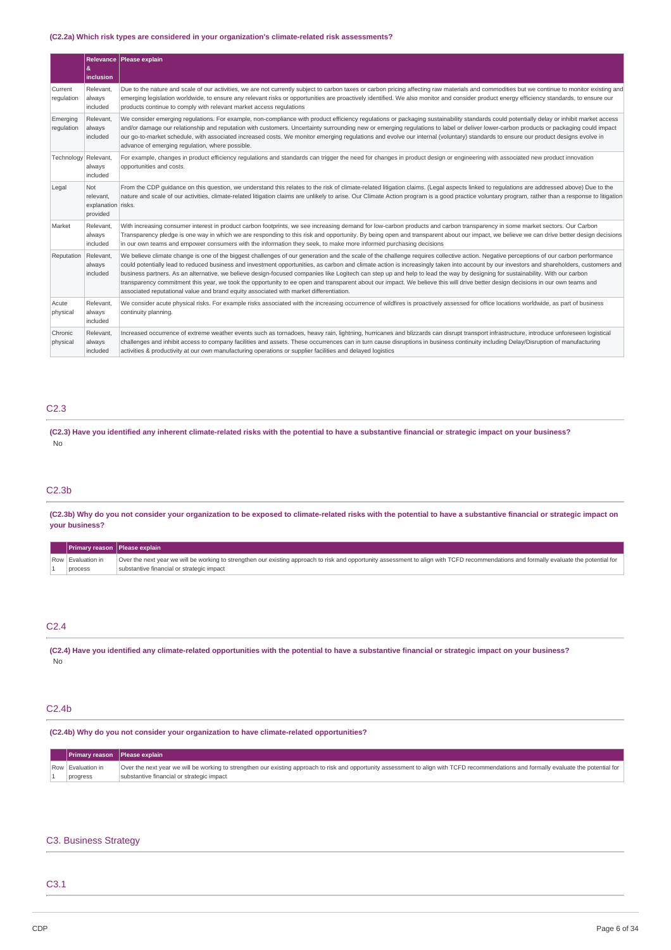### **(C2.2a) Which risk types are considered in your organization's climate-related risk assessments?**

|                        | æ.<br>inclusion                                    | Relevance   Please explain                                                                                                                                                                                                                                                                                                                                                                                                                                                                                                                                                                                                                                                                                                                                                                                                                        |
|------------------------|----------------------------------------------------|---------------------------------------------------------------------------------------------------------------------------------------------------------------------------------------------------------------------------------------------------------------------------------------------------------------------------------------------------------------------------------------------------------------------------------------------------------------------------------------------------------------------------------------------------------------------------------------------------------------------------------------------------------------------------------------------------------------------------------------------------------------------------------------------------------------------------------------------------|
| Current<br>regulation  | Relevant.<br>always<br>included                    | Due to the nature and scale of our activities, we are not currently subject to carbon taxes or carbon pricing affecting raw materials and commodities but we continue to monitor existing and<br>emerging legislation worldwide, to ensure any relevant risks or opportunities are proactively identified. We also monitor and consider product energy efficiency standards, to ensure our<br>products continue to comply with relevant market access regulations                                                                                                                                                                                                                                                                                                                                                                                 |
| Emerging<br>regulation | Relevant,<br>always<br>included                    | We consider emerging regulations. For example, non-compliance with product efficiency regulations or packaging sustainability standards could potentially delay or inhibit market access<br>and/or damage our relationship and reputation with customers. Uncertainty surrounding new or emerging regulations to label or deliver lower-carbon products or packaging could impact<br>our go-to-market schedule, with associated increased costs. We monitor emerging regulations and evolve our internal (voluntary) standards to ensure our product designs evolve in<br>advance of emerging regulation, where possible.                                                                                                                                                                                                                         |
| Technology Relevant,   | always<br>included                                 | For example, changes in product efficiency regulations and standards can trigger the need for changes in product design or engineering with associated new product innovation<br>opportunities and costs.                                                                                                                                                                                                                                                                                                                                                                                                                                                                                                                                                                                                                                         |
| Legal                  | Not<br>relevant.<br>explanation risks.<br>provided | From the CDP quidance on this question, we understand this relates to the risk of climate-related litigation claims. (Legal aspects linked to regulations are addressed above) Due to the<br>nature and scale of our activities, climate-related litigation claims are unlikely to arise. Our Climate Action program is a good practice voluntary program, rather than a response to litigation                                                                                                                                                                                                                                                                                                                                                                                                                                                   |
| Market                 | Relevant,<br>always<br>included                    | With increasing consumer interest in product carbon footprints, we see increasing demand for low-carbon products and carbon transparency in some market sectors. Our Carbon<br>Transparency pledge is one way in which we are responding to this risk and opportunity. By being open and transparent about our impact, we believe we can drive better design decisions<br>in our own teams and empower consumers with the information they seek, to make more informed purchasing decisions                                                                                                                                                                                                                                                                                                                                                       |
| Reputation             | Relevant,<br>always<br>included                    | We believe climate change is one of the biggest challenges of our generation and the scale of the challenge reguires collective action. Negative perceptions of our carbon performance<br>could potentially lead to reduced business and investment opportunities, as carbon and climate action is increasingly taken into account by our investors and shareholders, customers and<br>business partners. As an alternative, we believe design-focused companies like Logitech can step up and help to lead the way by designing for sustainability. With our carbon<br>transparency commitment this year, we took the opportunity to ee open and transparent about our impact. We believe this will drive better design decisions in our own teams and<br>associated reputational value and brand equity associated with market differentiation. |
| Acute<br>physical      | Relevant.<br>always<br>included                    | We consider acute physical risks. For example risks associated with the increasing occurrence of wildfires is proactively assessed for office locations worldwide, as part of business<br>continuity planning.                                                                                                                                                                                                                                                                                                                                                                                                                                                                                                                                                                                                                                    |
| Chronic<br>physical    | Relevant,<br>always<br>included                    | Increased occurrence of extreme weather events such as tornadoes, heavy rain, lightning, hurricanes and blizzards can disrupt transport infrastructure, introduce unforeseen logistical<br>challenges and inhibit access to company facilities and assets. These occurrences can in turn cause disruptions in business continuity including Delay/Disruption of manufacturing<br>activities & productivity at our own manufacturing operations or supplier facilities and delayed logistics                                                                                                                                                                                                                                                                                                                                                       |

### C2.3

(C2.3) Have you identified any inherent climate-related risks with the potential to have a substantive financial or strategic impact on your business? No

## C2.3b

(C2.3b) Why do you not consider your organization to be exposed to climate-related risks with the potential to have a substantive financial or strategic impact on **your business?**

| <b>Primary reason Please explain</b> |                                                                                                                                                                                         |
|--------------------------------------|-----------------------------------------------------------------------------------------------------------------------------------------------------------------------------------------|
| Row Evaluation in                    | Over the next year we will be working to strengthen our existing approach to risk and opportunity assessment to align with TCFD recommendations and formally evaluate the potential for |
| process                              | substantive financial or strategic impact                                                                                                                                               |

## C2.4

(C2.4) Have you identified any climate-related opportunities with the potential to have a substantive financial or strategic impact on your business? No

## C2.4b

**(C2.4b) Why do you not consider your organization to have climate-related opportunities?**

| <b>Primary reason</b> Please explain |                                                                                                                                                                                         |
|--------------------------------------|-----------------------------------------------------------------------------------------------------------------------------------------------------------------------------------------|
| Row Evaluation in                    | Over the next year we will be working to strengthen our existing approach to risk and opportunity assessment to align with TCFD recommendations and formally evaluate the potential for |
| progress                             | substantive financial or strategic impact                                                                                                                                               |

### C3. Business Strategy

## C3.1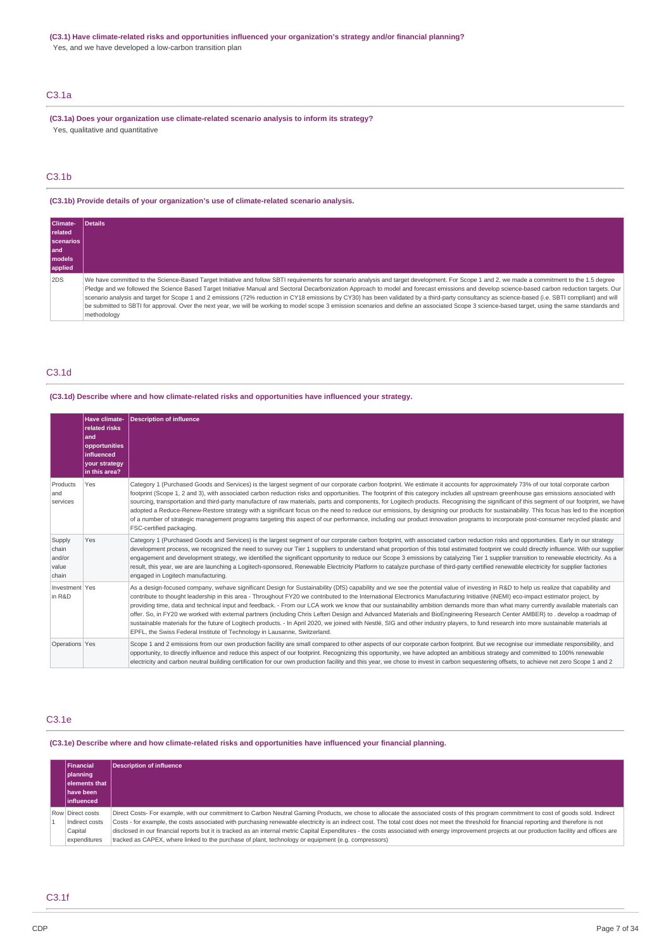## **(C3.1) Have climate-related risks and opportunities influenced your organization's strategy and/or financial planning?**

Yes, and we have developed a low-carbon transition plan

## C3.1a

**(C3.1a) Does your organization use climate-related scenario analysis to inform its strategy?** Yes, qualitative and quantitative

## C3.1b

**(C3.1b) Provide details of your organization's use of climate-related scenario analysis.**

| Climate-<br>related<br>scenarios<br>l and<br><b>I</b> models<br>applied | <b>Details</b>                                                                                                                                                                                                                                                                                                                                                                                                                                                                                                                                                                                                                                                                                                                                                                                                             |
|-------------------------------------------------------------------------|----------------------------------------------------------------------------------------------------------------------------------------------------------------------------------------------------------------------------------------------------------------------------------------------------------------------------------------------------------------------------------------------------------------------------------------------------------------------------------------------------------------------------------------------------------------------------------------------------------------------------------------------------------------------------------------------------------------------------------------------------------------------------------------------------------------------------|
| 2DS                                                                     | We have committed to the Science-Based Target Initiative and follow SBTI requirements for scenario analysis and target development. For Scope 1 and 2, we made a commitment to the 1.5 degree<br>Pledge and we followed the Science Based Target Initiative Manual and Sectoral Decarbonization Approach to model and forecast emissions and develop science-based carbon reduction targets. Our<br>scenario analysis and target for Scope 1 and 2 emissions (72% reduction in CY18 emissions by CY30) has been validated by a third-party consultancy as science-based (i.e. SBTI compliant) and will<br>be submitted to SBTI for approval. Over the next year, we will be working to model scope 3 emission scenarios and define an associated Scope 3 science-based target, using the same standards and<br>methodology |

## C3.1d

### **(C3.1d) Describe where and how climate-related risks and opportunities have influenced your strategy.**

|                                             | Have climate-<br>related risks<br>and<br>opportunities<br>influenced<br><b>your strategy</b><br>in this area? | <b>Description of influence</b>                                                                                                                                                                                                                                                                                                                                                                                                                                                                                                                                                                                                                                                                                                                                                                                                                                                                                                                                                                                         |
|---------------------------------------------|---------------------------------------------------------------------------------------------------------------|-------------------------------------------------------------------------------------------------------------------------------------------------------------------------------------------------------------------------------------------------------------------------------------------------------------------------------------------------------------------------------------------------------------------------------------------------------------------------------------------------------------------------------------------------------------------------------------------------------------------------------------------------------------------------------------------------------------------------------------------------------------------------------------------------------------------------------------------------------------------------------------------------------------------------------------------------------------------------------------------------------------------------|
| Products<br>and<br>services                 | Yes                                                                                                           | Category 1 (Purchased Goods and Services) is the largest segment of our corporate carbon footprint. We estimate it accounts for approximately 73% of our total corporate carbon<br>footprint (Scope 1, 2 and 3), with associated carbon reduction risks and opportunities. The footprint of this category includes all upstream greenhouse gas emissions associated with<br>sourcing, transportation and third-party manufacture of raw materials, parts and components, for Logitech products. Recognising the significant of this segment of our footprint, we have<br>adopted a Reduce-Renew-Restore strategy with a significant focus on the need to reduce our emissions, by designing our products for sustainability. This focus has led to the inception<br>of a number of strategic management programs targeting this aspect of our performance, including our product innovation programs to incorporate post-consumer recycled plastic and<br>FSC-certified packaging.                                      |
| Supply<br>chain<br>and/or<br>value<br>chain | Yes                                                                                                           | Category 1 (Purchased Goods and Services) is the largest segment of our corporate carbon footprint, with associated carbon reduction risks and opportunities. Early in our strategy<br>development process, we recognized the need to survey our Tier 1 suppliers to understand what proportion of this total estimated footprint we could directly influence. With our supplier<br>engagement and development strategy, we identified the significant opportunity to reduce our Scope 3 emissions by catalyzing Tier 1 supplier transition to renewable electricity. As a<br>result, this year, we are are launching a Logitech-sponsored, Renewable Electricity Platform to catalyze purchase of third-party certified renewable electricity for supplier factories<br>engaged in Logitech manufacturing.                                                                                                                                                                                                             |
| Investment Yes<br>in R&D                    |                                                                                                               | As a design-focused company, wehave significant Design for Sustainability (DfS) capability and we see the potential value of investing in R&D to help us realize that capability and<br>contribute to thought leadership in this area - Throughout FY20 we contributed to the International Electronics Manufacturing Initiative (iNEMI) eco-impact estimator project, by<br>providing time, data and technical input and feedback. - From our LCA work we know that our sustainability ambition demands more than what many currently available materials can<br>offer. So, in FY20 we worked with external partners (including Chris Lefteri Design and Advanced Materials and BioEngineering Research Center AMBER) to . develop a roadmap of<br>sustainable materials for the future of Logitech products. - In April 2020, we joined with Nestlé, SIG and other industry players, to fund research into more sustainable materials at<br>EPFL, the Swiss Federal Institute of Technology in Lausanne, Switzerland. |
| Operations Yes                              |                                                                                                               | Scope 1 and 2 emissions from our own production facility are small compared to other aspects of our corporate carbon footprint. But we recognise our immediate responsibility, and<br>opportunity, to directly influence and reduce this aspect of our footprint. Recognizing this opportunity, we have adopted an ambitious strategy and committed to 100% renewable<br>electricity and carbon neutral building certification for our own production facility and this year, we chose to invest in carbon sequestering offsets, to achieve net zero Scope 1 and 2                                                                                                                                                                                                                                                                                                                                                                                                                                                      |

#### C3.1e

**(C3.1e) Describe where and how climate-related risks and opportunities have influenced your financial planning.**

| <b>Financial</b><br> planning<br>elements that<br><b>Ihave been</b><br>linfluenced | <b>Description of influence</b>                                                                                                                                                                                                                                                                                                                                                                                                                                                                                                                                                                                                                                                                     |
|------------------------------------------------------------------------------------|-----------------------------------------------------------------------------------------------------------------------------------------------------------------------------------------------------------------------------------------------------------------------------------------------------------------------------------------------------------------------------------------------------------------------------------------------------------------------------------------------------------------------------------------------------------------------------------------------------------------------------------------------------------------------------------------------------|
| Row Direct costs<br>Indirect costs<br>Capital<br>expenditures                      | Direct Costs- For example, with our commitment to Carbon Neutral Gaming Products, we chose to allocate the associated costs of this program commitment to cost of goods sold. Indirect<br>Costs - for example, the costs associated with purchasing renewable electricity is an indirect cost. The total cost does not meet the threshold for financial reporting and therefore is not<br>disclosed in our financial reports but it is tracked as an internal metric Capital Expenditures - the costs associated with energy improvement projects at our production facility and offices are<br>tracked as CAPEX, where linked to the purchase of plant, technology or equipment (e.g. compressors) |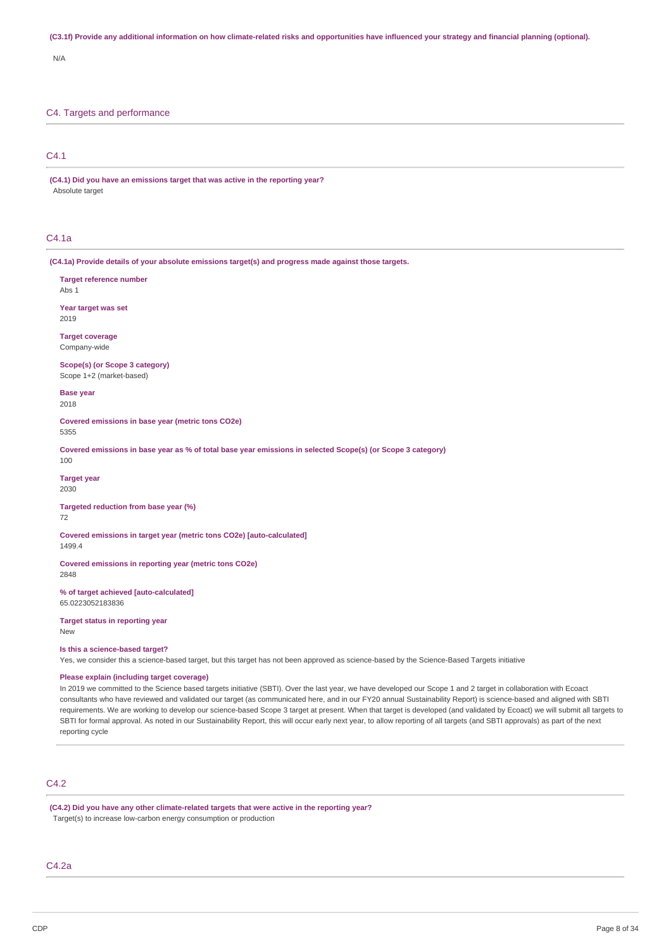#### (C3.1f) Provide any additional information on how climate-related risks and opportunities have influenced your strategy and financial planning (optional).

N/A

## C4. Targets and performance

C4.1

**(C4.1) Did you have an emissions target that was active in the reporting year?** Absolute target

### C4.1a

**(C4.1a) Provide details of your absolute emissions target(s) and progress made against those targets.**

**Target reference number** Abs 1 **Year target was set** 2019

**Target coverage** Company-wide

**Scope(s) (or Scope 3 category)** Scope 1+2 (market-based)

**Base year** 2018

**Covered emissions in base year (metric tons CO2e)** 5355

Covered emissions in base year as % of total base year emissions in selected Scope(s) (or Scope 3 category) 100

**Target year**

2030

**Targeted reduction from base year (%)**

72

**Covered emissions in target year (metric tons CO2e) [auto-calculated]** 1499.4

**Covered emissions in reporting year (metric tons CO2e)** 2848

**% of target achieved [auto-calculated]** 65.0223052183836

**Target status in reporting year** New

**Is this a science-based target?**

Yes, we consider this a science-based target, but this target has not been approved as science-based by the Science-Based Targets initiative

## **Please explain (including target coverage)**

In 2019 we committed to the Science based targets initiative (SBTI). Over the last year, we have developed our Scope 1 and 2 target in collaboration with Ecoact consultants who have reviewed and validated our target (as communicated here, and in our FY20 annual Sustainability Report) is science-based and aligned with SBTI requirements. We are working to develop our science-based Scope 3 target at present. When that target is developed (and validated by Ecoact) we will submit all targets to SBTI for formal approval. As noted in our Sustainability Report, this will occur early next year, to allow reporting of all targets (and SBTI approvals) as part of the next reporting cycle

## C4.2

**(C4.2) Did you have any other climate-related targets that were active in the reporting year?** Target(s) to increase low-carbon energy consumption or production

C4.2a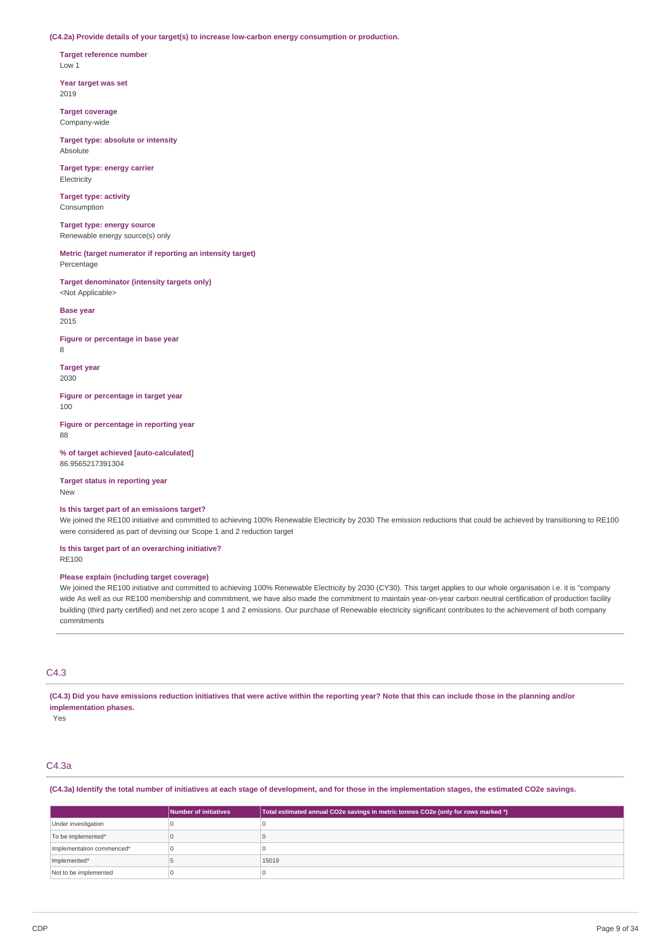**(C4.2a) Provide details of your target(s) to increase low-carbon energy consumption or production.**

**Target reference number** Low 1

**Year target was set** 2019

**Target coverage** Company-wide

**Target type: absolute or intensity** Absolute

**Target type: energy carrier** Electricity

**Target type: activity** Consumption

**Target type: energy source** Renewable energy source(s) only

**Metric (target numerator if reporting an intensity target)** Percentage

**Target denominator (intensity targets only)** <Not Applicable>

**Base year** 2015

**Figure or percentage in base year** 8

**Target year** 2030

**Figure or percentage in target year** 100

**Figure or percentage in reporting year** 88

**% of target achieved [auto-calculated]** 86.9565217391304

**Target status in reporting year** New

**Is this target part of an emissions target?**

We joined the RE100 initiative and committed to achieving 100% Renewable Electricity by 2030 The emission reductions that could be achieved by transitioning to RE100 were considered as part of devising our Scope 1 and 2 reduction target

**Is this target part of an overarching initiative?** RE100

## **Please explain (including target coverage)**

We joined the RE100 initiative and committed to achieving 100% Renewable Electricity by 2030 (CY30). This target applies to our whole organisation i.e. it is "company wide As well as our RE100 membership and commitment, we have also made the commitment to maintain year-on-year carbon neutral certification of production facility building (third party certified) and net zero scope 1 and 2 emissions. Our purchase of Renewable electricity significant contributes to the achievement of both company commitments

## C4.3

(C4.3) Did you have emissions reduction initiatives that were active within the reporting year? Note that this can include those in the planning and/or **implementation phases.**

Yes

## C4.3a

(C4.3a) Identify the total number of initiatives at each stage of development, and for those in the implementation stages, the estimated CO2e savings.

|                           | Number of initiatives | Total estimated annual CO2e savings in metric tonnes CO2e (only for rows marked *) |
|---------------------------|-----------------------|------------------------------------------------------------------------------------|
| Under investigation       |                       |                                                                                    |
| To be implemented*        |                       |                                                                                    |
| Implementation commenced* |                       |                                                                                    |
| Implemented*              |                       | 15019                                                                              |
| Not to be implemented     |                       |                                                                                    |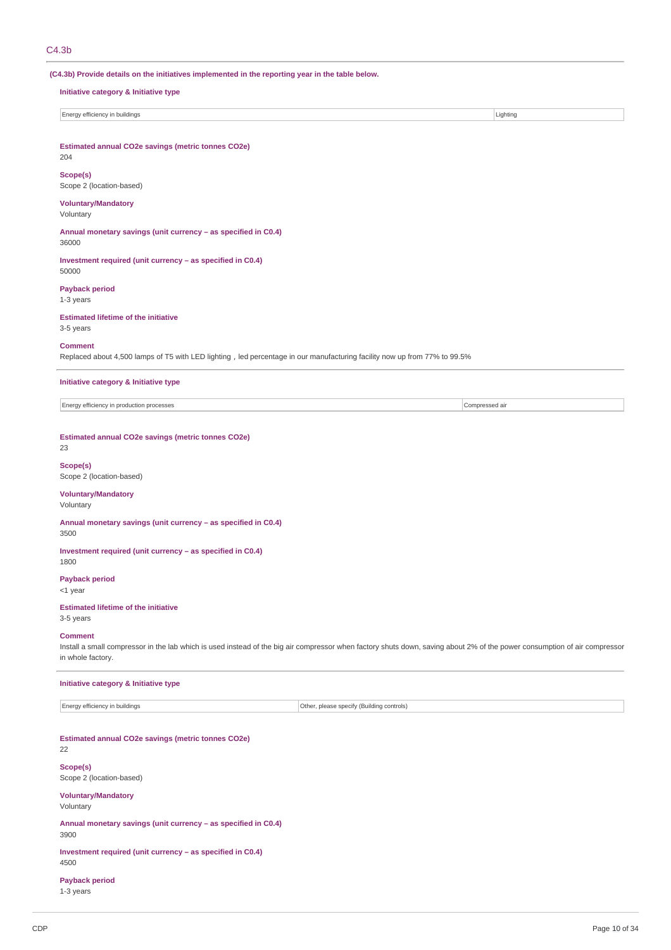204

**(C4.3b) Provide details on the initiatives implemented in the reporting year in the table below.**

## **Initiative category & Initiative type**

Energy efficiency in buildings Lighting

**Estimated annual CO2e savings (metric tonnes CO2e)**

**Scope(s)** Scope 2 (location-based)

### **Voluntary/Mandatory** Voluntary

**Annual monetary savings (unit currency – as specified in C0.4)** 36000

**Investment required (unit currency – as specified in C0.4)** 50000

**Payback period**

1-3 years

**Estimated lifetime of the initiative** 3-5 years

## **Comment**

Replaced about 4,500 lamps of T5 with LED lighting, led percentage in our manufacturing facility now up from 77% to 99.5%

**Initiative category & Initiative type**

Energy efficiency in production processes Compressed air

### **Estimated annual CO2e savings (metric tonnes CO2e)**

### 23

**Scope(s)** Scope 2 (location-based)

### **Voluntary/Mandatory**

Voluntary

**Annual monetary savings (unit currency – as specified in C0.4)** 3500

**Investment required (unit currency – as specified in C0.4)** 1800

**Payback period**

<1 year

## **Estimated lifetime of the initiative**

3-5 years

## **Comment**

Install a small compressor in the lab which is used instead of the big air compressor when factory shuts down, saving about 2% of the power consumption of air compressor in whole factory.

### **Initiative category & Initiative type**

Energy efficiency in buildings **Other, please specify (Building controls)** Other, please specify (Building controls)

### **Estimated annual CO2e savings (metric tonnes CO2e)**

22

## **Scope(s)**

Scope 2 (location-based)

# **Voluntary/Mandatory**

Voluntary

**Annual monetary savings (unit currency – as specified in C0.4)** 3900

**Investment required (unit currency – as specified in C0.4)** 4500

## **Payback period**

1-3 years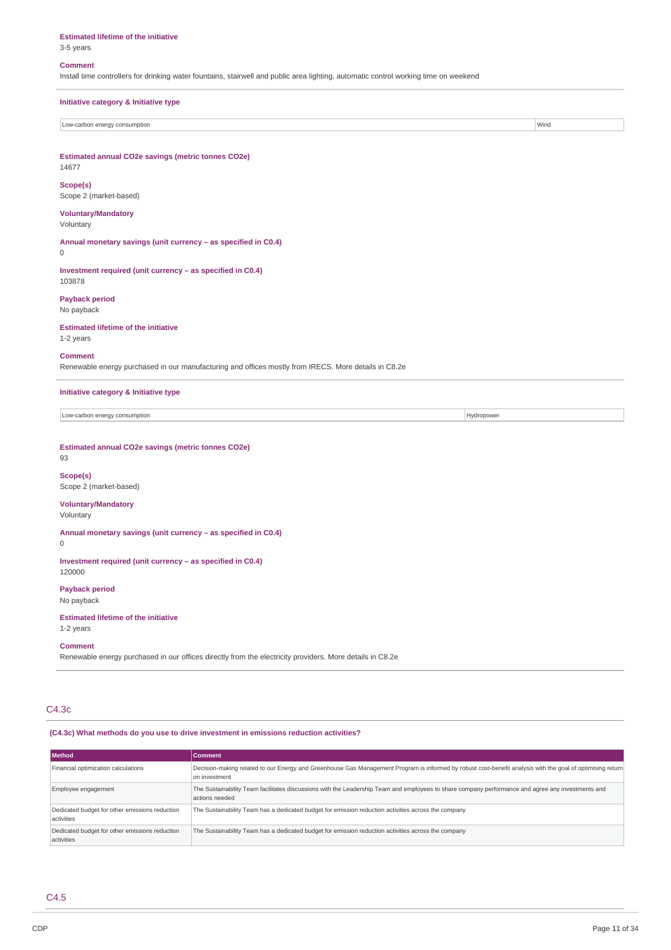#### **Estimated lifetime of the initiative**

3-5 years

#### **Comment**

Install time controllers for drinking water fountains, stairwell and public area lighting, automatic control working time on weekend

| Initiative category & Initiative type                                                                                  |            |  |  |  |
|------------------------------------------------------------------------------------------------------------------------|------------|--|--|--|
| Low-carbon energy consumption<br>Wind                                                                                  |            |  |  |  |
|                                                                                                                        |            |  |  |  |
| Estimated annual CO2e savings (metric tonnes CO2e)<br>14677                                                            |            |  |  |  |
| Scope(s)<br>Scope 2 (market-based)                                                                                     |            |  |  |  |
| <b>Voluntary/Mandatory</b><br>Voluntary                                                                                |            |  |  |  |
| Annual monetary savings (unit currency - as specified in C0.4)<br>0                                                    |            |  |  |  |
| Investment required (unit currency - as specified in C0.4)<br>103878                                                   |            |  |  |  |
| <b>Payback period</b><br>No payback                                                                                    |            |  |  |  |
| <b>Estimated lifetime of the initiative</b><br>1-2 years                                                               |            |  |  |  |
| <b>Comment</b><br>Renewable energy purchased in our manufacturing and offices mostly from IRECS. More details in C8.2e |            |  |  |  |
| Initiative category & Initiative type                                                                                  |            |  |  |  |
| Low-carbon energy consumption                                                                                          | Hydropower |  |  |  |

**Estimated annual CO2e savings (metric tonnes CO2e)**

### 93

0

**Scope(s)** Scope 2 (market-based)

# **Voluntary/Mandatory**

Voluntary

**Annual monetary savings (unit currency – as specified in C0.4)**

**Investment required (unit currency – as specified in C0.4)** 120000

**Payback period** No payback

**Estimated lifetime of the initiative** 1-2 years

#### **Comment**

Renewable energy purchased in our offices directly from the electricity providers. More details in C8.2e

## C4.3c

**(C4.3c) What methods do you use to drive investment in emissions reduction activities?**

| l Method                                                     | Comment                                                                                                                                                                     |
|--------------------------------------------------------------|-----------------------------------------------------------------------------------------------------------------------------------------------------------------------------|
| Financial optimization calculations                          | Decision-making related to our Energy and Greenhouse Gas Management Program is informed by robust cost-benefit analysis with the goal of optimising return<br>on investment |
| Employee engagement                                          | The Sustainability Team facilitates discussions with the Leadership Team and employees to share company performance and agree any investments and<br>actions needed         |
| Dedicated budget for other emissions reduction<br>activities | The Sustainability Team has a dedicated budget for emission reduction activities across the company                                                                         |
| Dedicated budget for other emissions reduction<br>activities | The Sustainability Team has a dedicated budget for emission reduction activities across the company                                                                         |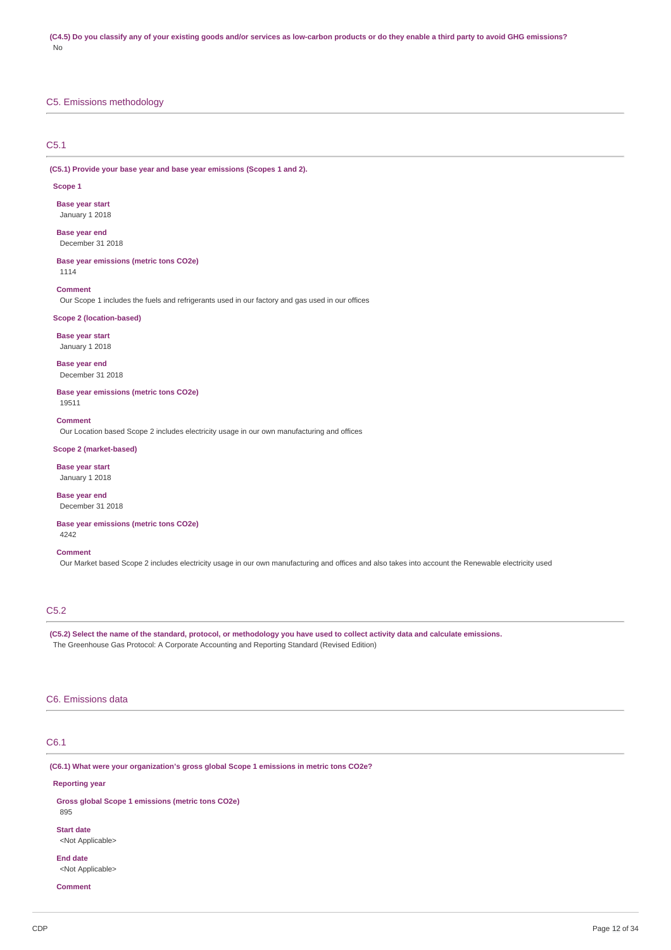## C5. Emissions methodology

### C5.1

**(C5.1) Provide your base year and base year emissions (Scopes 1 and 2).**

#### **Scope 1**

**Base year start** January 1 2018

### **Base year end** December 31 2018

**Base year emissions (metric tons CO2e)** 1114

#### **Comment**

Our Scope 1 includes the fuels and refrigerants used in our factory and gas used in our offices

### **Scope 2 (location-based)**

**Base year start**

January 1 2018

**Base year end** December 31 2018

**Base year emissions (metric tons CO2e)** 19511

#### **Comment**

Our Location based Scope 2 includes electricity usage in our own manufacturing and offices

## **Scope 2 (market-based)**

**Base year start** January 1 2018

**Base year end** December 31 2018

### **Base year emissions (metric tons CO2e)** 4242

#### **Comment**

Our Market based Scope 2 includes electricity usage in our own manufacturing and offices and also takes into account the Renewable electricity used

## C5.2

(C5.2) Select the name of the standard, protocol, or methodology you have used to collect activity data and calculate emissions. The Greenhouse Gas Protocol: A Corporate Accounting and Reporting Standard (Revised Edition)

### C6. Emissions data

## C6.1

**(C6.1) What were your organization's gross global Scope 1 emissions in metric tons CO2e?**

#### **Reporting year**

**Gross global Scope 1 emissions (metric tons CO2e)** 895 **Start date**

<Not Applicable>

### **End date** <Not Applicable>

**Comment**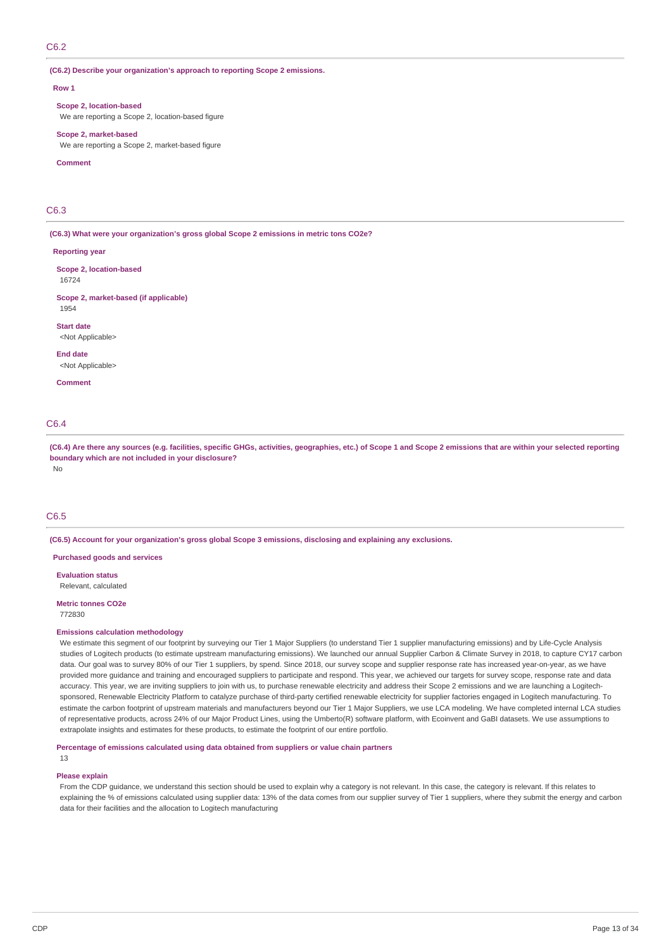## C6.2

### **(C6.2) Describe your organization's approach to reporting Scope 2 emissions.**

#### **Row 1**

**Scope 2, location-based** We are reporting a Scope 2, location-based figure

**Scope 2, market-based** We are reporting a Scope 2, market-based figure

#### **Comment**

## C6.3

**(C6.3) What were your organization's gross global Scope 2 emissions in metric tons CO2e?**

#### **Reporting year**

**Scope 2, location-based** 16724

#### **Scope 2, market-based (if applicable)** 1954

**Start date** <Not Applicable>

**End date** <Not Applicable>

**Comment**

## C6.4

(C6.4) Are there any sources (e.g. facilities, specific GHGs, activities, geographies, etc.) of Scope 1 and Scope 2 emissions that are within your selected reporting **boundary which are not included in your disclosure?**

No

## C6.5

**(C6.5) Account for your organization's gross global Scope 3 emissions, disclosing and explaining any exclusions.**

**Purchased goods and services**

**Evaluation status** Relevant, calculated

#### **Metric tonnes CO2e**

772830

#### **Emissions calculation methodology**

We estimate this segment of our footprint by surveying our Tier 1 Major Suppliers (to understand Tier 1 supplier manufacturing emissions) and by Life-Cycle Analysis studies of Logitech products (to estimate upstream manufacturing emissions). We launched our annual Supplier Carbon & Climate Survey in 2018, to capture CY17 carbon data. Our goal was to survey 80% of our Tier 1 suppliers, by spend. Since 2018, our survey scope and supplier response rate has increased year-on-year, as we have provided more guidance and training and encouraged suppliers to participate and respond. This year, we achieved our targets for survey scope, response rate and data accuracy. This year, we are inviting suppliers to join with us, to purchase renewable electricity and address their Scope 2 emissions and we are launching a Logitechsponsored, Renewable Electricity Platform to catalyze purchase of third-party certified renewable electricity for supplier factories engaged in Logitech manufacturing. To estimate the carbon footprint of upstream materials and manufacturers beyond our Tier 1 Major Suppliers, we use LCA modeling. We have completed internal LCA studies of representative products, across 24% of our Major Product Lines, using the Umberto(R) software platform, with Ecoinvent and GaBI datasets. We use assumptions to extrapolate insights and estimates for these products, to estimate the footprint of our entire portfolio.

### **Percentage of emissions calculated using data obtained from suppliers or value chain partners**

## 13

### **Please explain**

From the CDP guidance, we understand this section should be used to explain why a category is not relevant. In this case, the category is relevant. If this relates to explaining the % of emissions calculated using supplier data: 13% of the data comes from our supplier survey of Tier 1 suppliers, where they submit the energy and carbon data for their facilities and the allocation to Logitech manufacturing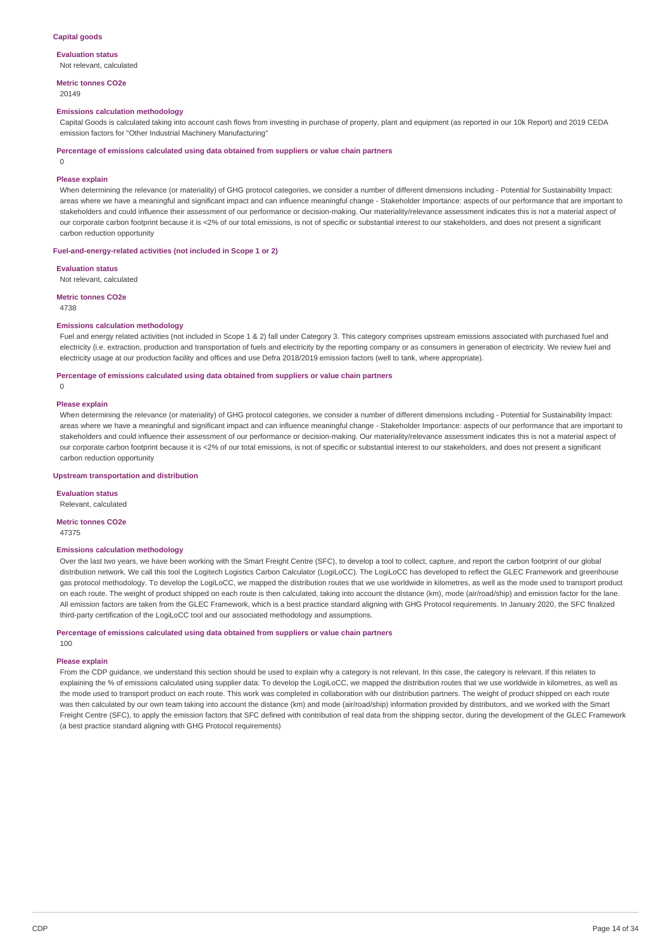#### **Evaluation status** Not relevant, calculated

**Metric tonnes CO2e**

20149

#### **Emissions calculation methodology**

Capital Goods is calculated taking into account cash flows from investing in purchase of property, plant and equipment (as reported in our 10k Report) and 2019 CEDA emission factors for "Other Industrial Machinery Manufacturing"

**Percentage of emissions calculated using data obtained from suppliers or value chain partners**

0

#### **Please explain**

When determining the relevance (or materiality) of GHG protocol categories, we consider a number of different dimensions including - Potential for Sustainability Impact: areas where we have a meaningful and significant impact and can influence meaningful change - Stakeholder Importance: aspects of our performance that are important to stakeholders and could influence their assessment of our performance or decision-making. Our materiality/relevance assessment indicates this is not a material aspect of our corporate carbon footprint because it is <2% of our total emissions, is not of specific or substantial interest to our stakeholders, and does not present a significant carbon reduction opportunity

#### **Fuel-and-energy-related activities (not included in Scope 1 or 2)**

**Evaluation status**

Not relevant, calculated

**Metric tonnes CO2e**

4738

### **Emissions calculation methodology**

Fuel and energy related activities (not included in Scope 1 & 2) fall under Category 3. This category comprises upstream emissions associated with purchased fuel and electricity (i.e. extraction, production and transportation of fuels and electricity by the reporting company or as consumers in generation of electricity. We review fuel and electricity usage at our production facility and offices and use Defra 2018/2019 emission factors (well to tank, where appropriate).

**Percentage of emissions calculated using data obtained from suppliers or value chain partners**

 $\theta$ 

### **Please explain**

When determining the relevance (or materiality) of GHG protocol categories, we consider a number of different dimensions including - Potential for Sustainability Impact: areas where we have a meaningful and significant impact and can influence meaningful change - Stakeholder Importance: aspects of our performance that are important to stakeholders and could influence their assessment of our performance or decision-making. Our materiality/relevance assessment indicates this is not a material aspect of our corporate carbon footprint because it is <2% of our total emissions, is not of specific or substantial interest to our stakeholders, and does not present a significant carbon reduction opportunity

### **Upstream transportation and distribution**

**Evaluation status**

Relevant, calculated

#### **Metric tonnes CO2e**

47375

### **Emissions calculation methodology**

Over the last two years, we have been working with the Smart Freight Centre (SFC), to develop a tool to collect, capture, and report the carbon footprint of our global distribution network. We call this tool the Logitech Logistics Carbon Calculator (LogiLoCC). The LogiLoCC has developed to reflect the GLEC Framework and greenhouse gas protocol methodology. To develop the LogiLoCC, we mapped the distribution routes that we use worldwide in kilometres, as well as the mode used to transport product on each route. The weight of product shipped on each route is then calculated, taking into account the distance (km), mode (air/road/ship) and emission factor for the lane. All emission factors are taken from the GLEC Framework, which is a best practice standard aligning with GHG Protocol requirements. In January 2020, the SFC finalized third-party certification of the LogiLoCC tool and our associated methodology and assumptions.

**Percentage of emissions calculated using data obtained from suppliers or value chain partners**

## **Please explain**

100

From the CDP guidance, we understand this section should be used to explain why a category is not relevant. In this case, the category is relevant. If this relates to explaining the % of emissions calculated using supplier data: To develop the LogiLoCC, we mapped the distribution routes that we use worldwide in kilometres, as well as the mode used to transport product on each route. This work was completed in collaboration with our distribution partners. The weight of product shipped on each route was then calculated by our own team taking into account the distance (km) and mode (air/road/ship) information provided by distributors, and we worked with the Smart Freight Centre (SFC), to apply the emission factors that SFC defined with contribution of real data from the shipping sector, during the development of the GLEC Framework (a best practice standard aligning with GHG Protocol requirements)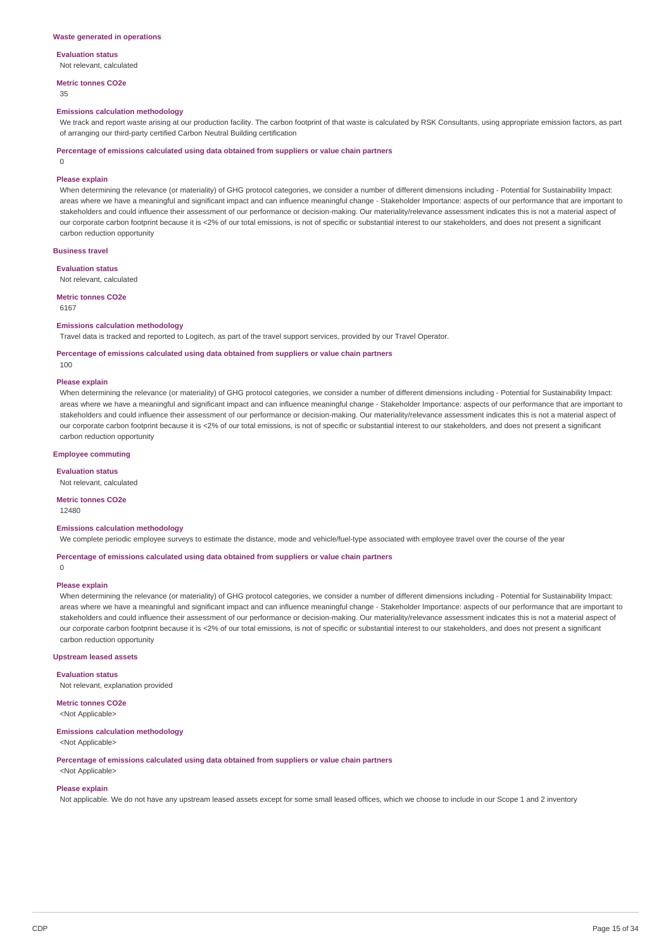### **Evaluation status**

Not relevant, calculated

#### **Metric tonnes CO2e**

35

#### **Emissions calculation methodology**

We track and report waste arising at our production facility. The carbon footprint of that waste is calculated by RSK Consultants, using appropriate emission factors, as part of arranging our third-party certified Carbon Neutral Building certification

#### **Percentage of emissions calculated using data obtained from suppliers or value chain partners**

0

#### **Please explain**

When determining the relevance (or materiality) of GHG protocol categories, we consider a number of different dimensions including - Potential for Sustainability Impact: areas where we have a meaningful and significant impact and can influence meaningful change - Stakeholder Importance: aspects of our performance that are important to stakeholders and could influence their assessment of our performance or decision-making. Our materiality/relevance assessment indicates this is not a material aspect of our corporate carbon footprint because it is <2% of our total emissions, is not of specific or substantial interest to our stakeholders, and does not present a significant carbon reduction opportunity

#### **Business travel**

**Evaluation status**

Not relevant, calculated

**Metric tonnes CO2e**

6167

### **Emissions calculation methodology**

Travel data is tracked and reported to Logitech, as part of the travel support services, provided by our Travel Operator.

### **Percentage of emissions calculated using data obtained from suppliers or value chain partners**

100

#### **Please explain**

When determining the relevance (or materiality) of GHG protocol categories, we consider a number of different dimensions including - Potential for Sustainability Impact: areas where we have a meaningful and significant impact and can influence meaningful change - Stakeholder Importance: aspects of our performance that are important to stakeholders and could influence their assessment of our performance or decision-making. Our materiality/relevance assessment indicates this is not a material aspect of our corporate carbon footprint because it is <2% of our total emissions, is not of specific or substantial interest to our stakeholders, and does not present a significant carbon reduction opportunity

#### **Employee commuting**

**Evaluation status** Not relevant, calculated

### **Metric tonnes CO2e**

12480

#### **Emissions calculation methodology**

We complete periodic employee surveys to estimate the distance, mode and vehicle/fuel-type associated with employee travel over the course of the vear

#### **Percentage of emissions calculated using data obtained from suppliers or value chain partners**

### **Please explain**

 $\Omega$ 

When determining the relevance (or materiality) of GHG protocol categories, we consider a number of different dimensions including - Potential for Sustainability Impact: areas where we have a meaningful and significant impact and can influence meaningful change - Stakeholder Importance: aspects of our performance that are important to stakeholders and could influence their assessment of our performance or decision-making. Our materiality/relevance assessment indicates this is not a material aspect of our corporate carbon footprint because it is <2% of our total emissions, is not of specific or substantial interest to our stakeholders, and does not present a significant carbon reduction opportunity

#### **Upstream leased assets**

**Evaluation status**

Not relevant, explanation provided

**Metric tonnes CO2e** <Not Applicable>

#### **Emissions calculation methodology**

<Not Applicable>

**Percentage of emissions calculated using data obtained from suppliers or value chain partners**

## <Not Applicable> **Please explain**

Not applicable. We do not have any upstream leased assets except for some small leased offices, which we choose to include in our Scope 1 and 2 inventory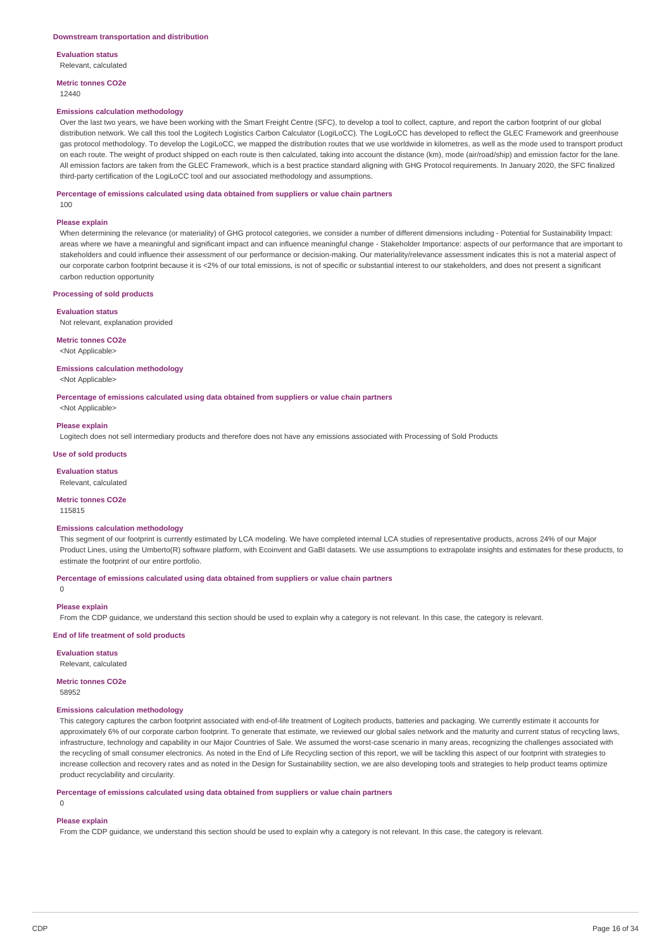**Evaluation status** Relevant, calculated

**Metric tonnes CO2e**

### 12440

### **Emissions calculation methodology**

Over the last two years, we have been working with the Smart Freight Centre (SFC), to develop a tool to collect, capture, and report the carbon footprint of our global distribution network. We call this tool the Logitech Logistics Carbon Calculator (LogiLoCC). The LogiLoCC has developed to reflect the GLEC Framework and greenhouse gas protocol methodology. To develop the LogiLoCC, we mapped the distribution routes that we use worldwide in kilometres, as well as the mode used to transport product on each route. The weight of product shipped on each route is then calculated, taking into account the distance (km), mode (air/road/ship) and emission factor for the lane. All emission factors are taken from the GLEC Framework, which is a best practice standard aligning with GHG Protocol requirements. In January 2020, the SFC finalized third-party certification of the LogiLoCC tool and our associated methodology and assumptions.

#### **Percentage of emissions calculated using data obtained from suppliers or value chain partners**

100

#### **Please explain**

When determining the relevance (or materiality) of GHG protocol categories, we consider a number of different dimensions including - Potential for Sustainability Impact: areas where we have a meaningful and significant impact and can influence meaningful change - Stakeholder Importance: aspects of our performance that are important to stakeholders and could influence their assessment of our performance or decision-making. Our materiality/relevance assessment indicates this is not a material aspect of our corporate carbon footprint because it is <2% of our total emissions, is not of specific or substantial interest to our stakeholders, and does not present a significant carbon reduction opportunity

#### **Processing of sold products**

#### **Evaluation status**

Not relevant, explanation provided

#### **Metric tonnes CO2e**

<Not Applicable>

#### **Emissions calculation methodology**

<Not Applicable>

**Percentage of emissions calculated using data obtained from suppliers or value chain partners**

<Not Applicable>

#### **Please explain**

Logitech does not sell intermediary products and therefore does not have any emissions associated with Processing of Sold Products

### **Use of sold products**

**Evaluation status** Relevant, calculated

## **Metric tonnes CO2e**

115815

#### **Emissions calculation methodology**

This segment of our footprint is currently estimated by LCA modeling. We have completed internal LCA studies of representative products, across 24% of our Major Product Lines, using the Umberto(R) software platform, with Ecoinvent and GaBI datasets. We use assumptions to extrapolate insights and estimates for these products, to estimate the footprint of our entire portfolio.

#### **Percentage of emissions calculated using data obtained from suppliers or value chain partners**

 $\overline{0}$ 

### **Please explain**

From the CDP guidance, we understand this section should be used to explain why a category is not relevant. In this case, the category is relevant.

### **End of life treatment of sold products**

#### **Evaluation status**

Relevant, calculated

#### **Metric tonnes CO2e**

58952

## **Emissions calculation methodology**

This category captures the carbon footprint associated with end-of-life treatment of Logitech products, batteries and packaging. We currently estimate it accounts for approximately 6% of our corporate carbon footprint. To generate that estimate, we reviewed our global sales network and the maturity and current status of recycling laws, infrastructure, technology and capability in our Major Countries of Sale. We assumed the worst-case scenario in many areas, recognizing the challenges associated with the recycling of small consumer electronics. As noted in the End of Life Recycling section of this report, we will be tackling this aspect of our footprint with strategies to increase collection and recovery rates and as noted in the Design for Sustainability section, we are also developing tools and strategies to help product teams optimize product recyclability and circularity.

### **Percentage of emissions calculated using data obtained from suppliers or value chain partners**

 $\Omega$ 

### **Please explain**

From the CDP guidance, we understand this section should be used to explain why a category is not relevant. In this case, the category is relevant.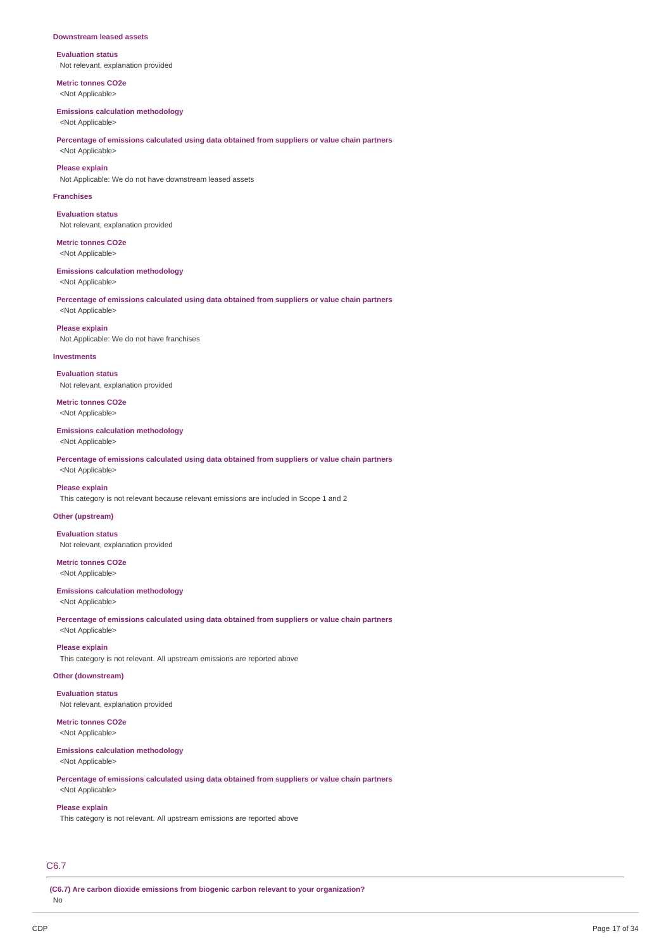#### **Downstream leased assets**

**Evaluation status** Not relevant, explanation provided

**Metric tonnes CO2e** <Not Applicable>

#### **Emissions calculation methodology**

<Not Applicable>

### **Percentage of emissions calculated using data obtained from suppliers or value chain partners** <Not Applicable>

### **Please explain**

Not Applicable: We do not have downstream leased assets

#### **Franchises**

**Evaluation status** Not relevant, explanation provided

**Metric tonnes CO2e** <Not Applicable>

### **Emissions calculation methodology**

<Not Applicable>

#### **Percentage of emissions calculated using data obtained from suppliers or value chain partners** <Not Applicable>

**Please explain** Not Applicable: We do not have franchises

#### **Investments**

**Evaluation status** Not relevant, explanation provided

**Metric tonnes CO2e** <Not Applicable>

#### **Emissions calculation methodology**

<Not Applicable>

**Percentage of emissions calculated using data obtained from suppliers or value chain partners** <Not Applicable>

### **Please explain**

This category is not relevant because relevant emissions are included in Scope 1 and 2

## **Other (upstream)**

**Evaluation status** Not relevant, explanation provided

**Metric tonnes CO2e** <Not Applicable>

# **Emissions calculation methodology**

<Not Applicable>

**Percentage of emissions calculated using data obtained from suppliers or value chain partners** <Not Applicable>

#### **Please explain**

This category is not relevant. All upstream emissions are reported above

## **Other (downstream)**

**Evaluation status** Not relevant, explanation provided

## **Metric tonnes CO2e**

<Not Applicable>

#### **Emissions calculation methodology** <Not Applicable>

**Percentage of emissions calculated using data obtained from suppliers or value chain partners** <Not Applicable>

## **Please explain**

This category is not relevant. All upstream emissions are reported above

## C6.7

**(C6.7) Are carbon dioxide emissions from biogenic carbon relevant to your organization?**

No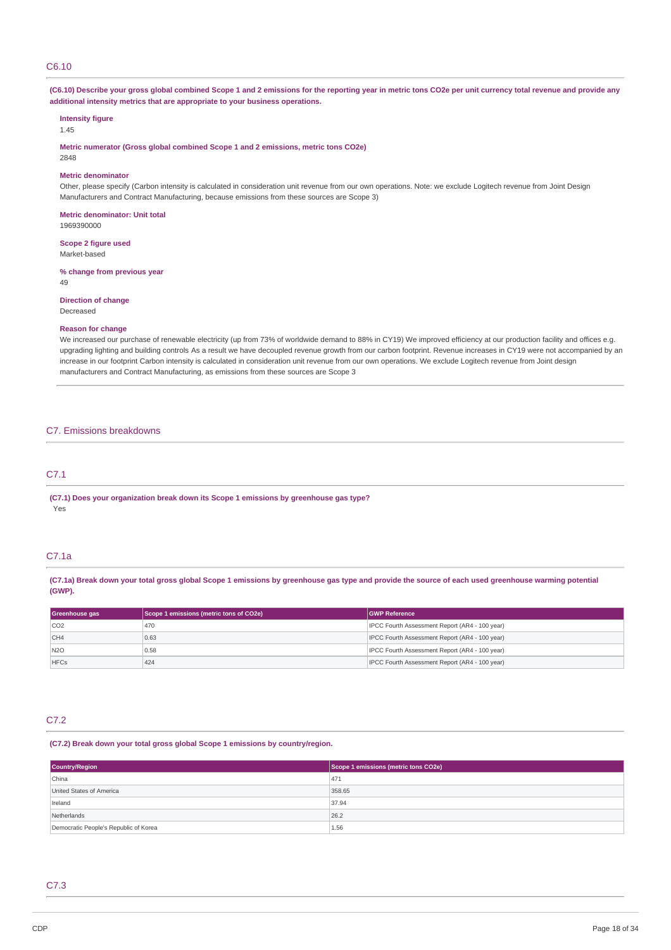## C6.10

(C6.10) Describe your gross global combined Scope 1 and 2 emissions for the reporting year in metric tons CO2e per unit currency total revenue and provide any **additional intensity metrics that are appropriate to your business operations.**

## **Intensity figure**

1.45

**Metric numerator (Gross global combined Scope 1 and 2 emissions, metric tons CO2e)**

# 2848

### **Metric denominator**

Other, please specify (Carbon intensity is calculated in consideration unit revenue from our own operations. Note: we exclude Logitech revenue from Joint Design Manufacturers and Contract Manufacturing, because emissions from these sources are Scope 3)

**Metric denominator: Unit total** 1969390000

**Scope 2 figure used** Market-based

### **% change from previous year**

49

**Direction of change** Decreased

#### **Reason for change**

We increased our purchase of renewable electricity (up from 73% of worldwide demand to 88% in CY19) We improved efficiency at our production facility and offices e.g. upgrading lighting and building controls As a result we have decoupled revenue growth from our carbon footprint. Revenue increases in CY19 were not accompanied by an increase in our footprint Carbon intensity is calculated in consideration unit revenue from our own operations. We exclude Logitech revenue from Joint design manufacturers and Contract Manufacturing, as emissions from these sources are Scope 3

### C7. Emissions breakdowns

## C7.1

**(C7.1) Does your organization break down its Scope 1 emissions by greenhouse gas type?** Yes

### C7.1a

(C7.1a) Break down your total gross global Scope 1 emissions by greenhouse gas type and provide the source of each used greenhouse warming potential **(GWP).**

| Greenhouse gas  | Scope 1 emissions (metric tons of CO2e) | <b>GWP Reference</b>                           |
|-----------------|-----------------------------------------|------------------------------------------------|
| CO2             | 470                                     | IPCC Fourth Assessment Report (AR4 - 100 year) |
| CH4             | 0.63                                    | IPCC Fourth Assessment Report (AR4 - 100 year) |
| N <sub>20</sub> | 0.58                                    | IPCC Fourth Assessment Report (AR4 - 100 year) |
| <b>HFCs</b>     | 424                                     | IPCC Fourth Assessment Report (AR4 - 100 year) |

### C7.2

#### **(C7.2) Break down your total gross global Scope 1 emissions by country/region.**

| <b>Country/Region</b>                 | Scope 1 emissions (metric tons CO2e) |  |
|---------------------------------------|--------------------------------------|--|
| China                                 | 471                                  |  |
| United States of America              | 358.65                               |  |
| Ireland                               | 37.94                                |  |
| Netherlands                           | 26.2                                 |  |
| Democratic People's Republic of Korea | 1.56                                 |  |

## C7.3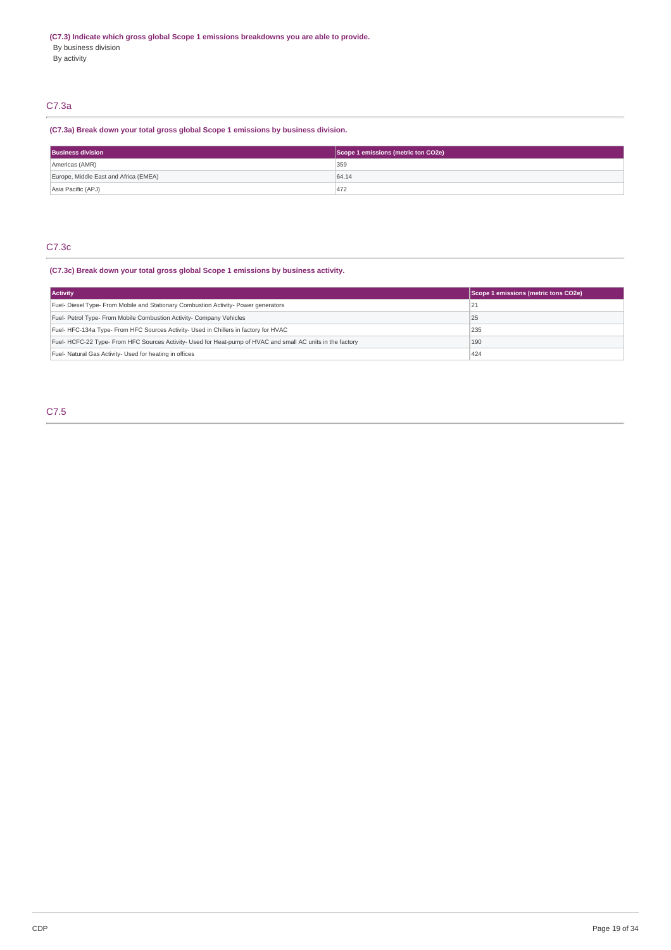By activity

## C7.3a

## **(C7.3a) Break down your total gross global Scope 1 emissions by business division.**

| <b>Business division</b>              | Scope 1 emissions (metric ton CO2e) |
|---------------------------------------|-------------------------------------|
| Americas (AMR)                        | 359                                 |
| Europe, Middle East and Africa (EMEA) | 64.14                               |
| Asia Pacific (APJ)                    | 472                                 |

## C7.3c

## **(C7.3c) Break down your total gross global Scope 1 emissions by business activity.**

| <b>Activity</b>                                                                                           | Scope 1 emissions (metric tons CO2e) |
|-----------------------------------------------------------------------------------------------------------|--------------------------------------|
| Fuel- Diesel Type- From Mobile and Stationary Combustion Activity- Power generators                       | 21                                   |
| Fuel- Petrol Type- From Mobile Combustion Activity- Company Vehicles                                      | 25                                   |
| Fuel-HFC-134a Type-From HFC Sources Activity- Used in Chillers in factory for HVAC                        | 235                                  |
| Fuel-HCFC-22 Type-From HFC Sources Activity- Used for Heat-pump of HVAC and small AC units in the factory | 190                                  |
| Fuel- Natural Gas Activity- Used for heating in offices                                                   | 424                                  |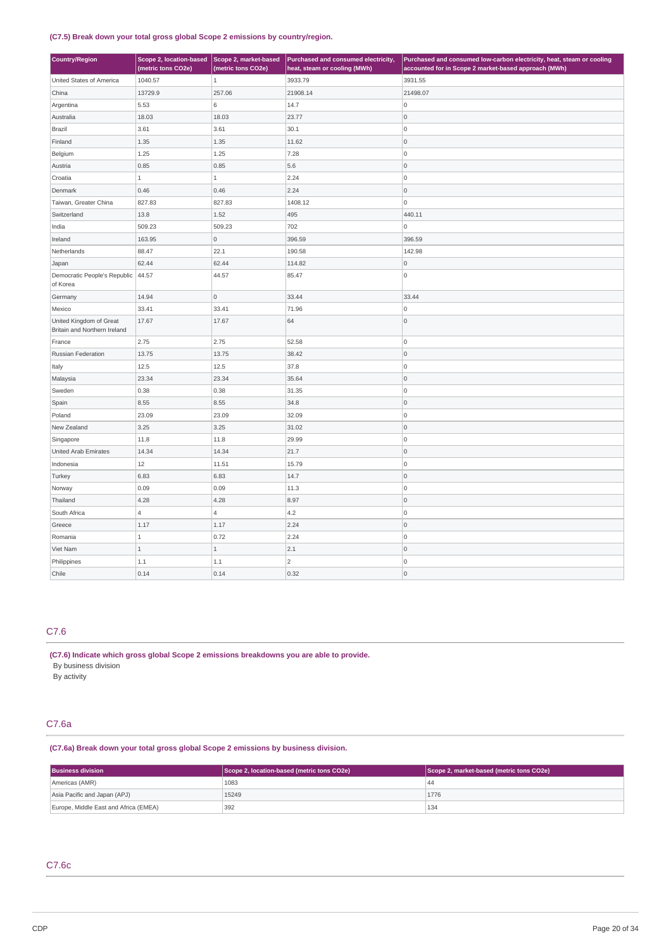### **(C7.5) Break down your total gross global Scope 2 emissions by country/region.**

| <b>Country/Region</b>                                   | Scope 2, location-based Scope 2, market-based<br>(metric tons CO2e) | (metric tons CO2e)  | Purchased and consumed electricity,<br>heat, steam or cooling (MWh) | Purchased and consumed low-carbon electricity, heat, steam or cooling<br>accounted for in Scope 2 market-based approach (MWh) |  |
|---------------------------------------------------------|---------------------------------------------------------------------|---------------------|---------------------------------------------------------------------|-------------------------------------------------------------------------------------------------------------------------------|--|
| United States of America                                | 1040.57                                                             |                     | 3933.79                                                             | 3931.55                                                                                                                       |  |
| China<br>13729.9                                        |                                                                     | 257.06              | 21908.14                                                            | 21498.07                                                                                                                      |  |
| Argentina                                               | 5.53                                                                | 6                   | 14.7                                                                | O                                                                                                                             |  |
| Australia                                               | 18.03                                                               | 18.03               | 23.77                                                               | $\overline{0}$                                                                                                                |  |
| Brazil                                                  | 3.61                                                                | 3.61                | 30.1                                                                | O                                                                                                                             |  |
| Finland                                                 | 1.35                                                                | 1.35                | 11.62                                                               | 0                                                                                                                             |  |
| Belgium                                                 | 1.25                                                                | 1.25                | 7.28                                                                | O                                                                                                                             |  |
| Austria                                                 | 0.85                                                                | 0.85                | 5.6                                                                 | O                                                                                                                             |  |
| Croatia                                                 | $1\,$                                                               | $\,1\,$             | 2.24                                                                | O                                                                                                                             |  |
| Denmark                                                 | 0.46                                                                | 0.46                | 2.24                                                                | 0                                                                                                                             |  |
| Taiwan, Greater China                                   | 827.83                                                              | 827.83              | 1408.12                                                             | ۱o                                                                                                                            |  |
| Switzerland                                             | 13.8                                                                | 1.52                | 495                                                                 | 440.11                                                                                                                        |  |
| India                                                   | 509.23                                                              | 509.23              | 702                                                                 | 0                                                                                                                             |  |
| Ireland                                                 | 163.95                                                              | $\overline{0}$      | 396.59                                                              | 396.59                                                                                                                        |  |
| Netherlands                                             | 88.47                                                               | 22.1                | 190.58                                                              | 142.98                                                                                                                        |  |
| Japan                                                   | 62.44                                                               | 62.44               | 114.82                                                              | $\overline{0}$                                                                                                                |  |
| Democratic People's Republic<br>of Korea                | 44.57                                                               | 44.57               | 85.47                                                               | $\overline{0}$                                                                                                                |  |
| Germany                                                 | 14.94                                                               | $\mathsf{O}\xspace$ | 33.44                                                               | 33.44                                                                                                                         |  |
| Mexico                                                  | 33.41                                                               | 33.41               | 71.96                                                               | 0                                                                                                                             |  |
| United Kingdom of Great<br>Britain and Northern Ireland | 17.67                                                               | 17.67               | 64                                                                  | $\overline{0}$                                                                                                                |  |
| France                                                  | 2.75                                                                | 2.75                | 52.58                                                               | 0                                                                                                                             |  |
| Russian Federation                                      | 13.75                                                               | 13.75               | 38.42                                                               | $ 0\rangle$                                                                                                                   |  |
| Italy                                                   | 12.5                                                                | 12.5                | 37.8                                                                | 0                                                                                                                             |  |
| Malaysia                                                | 23.34                                                               | 23.34               | 35.64                                                               | l O                                                                                                                           |  |
| Sweden                                                  | 0.38                                                                | 0.38                | 31.35                                                               | ۱o                                                                                                                            |  |
| Spain                                                   | 8.55                                                                | 8.55                | 34.8                                                                | l O                                                                                                                           |  |
| Poland                                                  | 23.09                                                               | 23.09               | 32.09                                                               | O                                                                                                                             |  |
| New Zealand                                             | 3.25                                                                | 3.25                | 31.02                                                               | 0                                                                                                                             |  |
| Singapore                                               | 11.8                                                                | 11.8                | 29.99                                                               | 0                                                                                                                             |  |
| United Arab Emirates                                    | 14.34                                                               | 14.34               | 21.7                                                                | $\overline{0}$                                                                                                                |  |
| Indonesia                                               | 12                                                                  | 11.51               | 15.79                                                               | O                                                                                                                             |  |
| Turkey                                                  | 6.83                                                                | 6.83                | 14.7                                                                | O                                                                                                                             |  |
| Norway                                                  | 0.09                                                                | 0.09                | 11.3                                                                | O                                                                                                                             |  |
| Thailand                                                | 4.28                                                                | 4.28                | 8.97                                                                | $\overline{0}$                                                                                                                |  |
| South Africa                                            | $\overline{4}$                                                      | $\overline{4}$      | 4.2                                                                 | O                                                                                                                             |  |
| Greece                                                  | 1.17                                                                | 1.17                | 2.24                                                                | 0                                                                                                                             |  |
| Romania                                                 | $\overline{1}$                                                      | 0.72                | 2.24                                                                | O                                                                                                                             |  |
| Viet Nam                                                | $\overline{1}$                                                      | $\mathbf 1$         | 2.1                                                                 | 0                                                                                                                             |  |
| Philippines                                             | $1.1\,$                                                             | 1.1                 | $\overline{2}$                                                      | 0                                                                                                                             |  |
| Chile                                                   | 0.14                                                                | 0.14                | 0.32                                                                | ۱o                                                                                                                            |  |

## C7.6

**(C7.6) Indicate which gross global Scope 2 emissions breakdowns you are able to provide.** By business division

By activity

## C7.6a

**(C7.6a) Break down your total gross global Scope 2 emissions by business division.**

| <b>Business division</b>              | Scope 2, location-based (metric tons CO2e) | Scope 2, market-based (metric tons CO2e) |
|---------------------------------------|--------------------------------------------|------------------------------------------|
| Americas (AMR)                        | 1083                                       | 44                                       |
| Asia Pacific and Japan (APJ)          | 15249                                      | 1776                                     |
| Europe, Middle East and Africa (EMEA) | 392                                        | 134                                      |

## C7.6c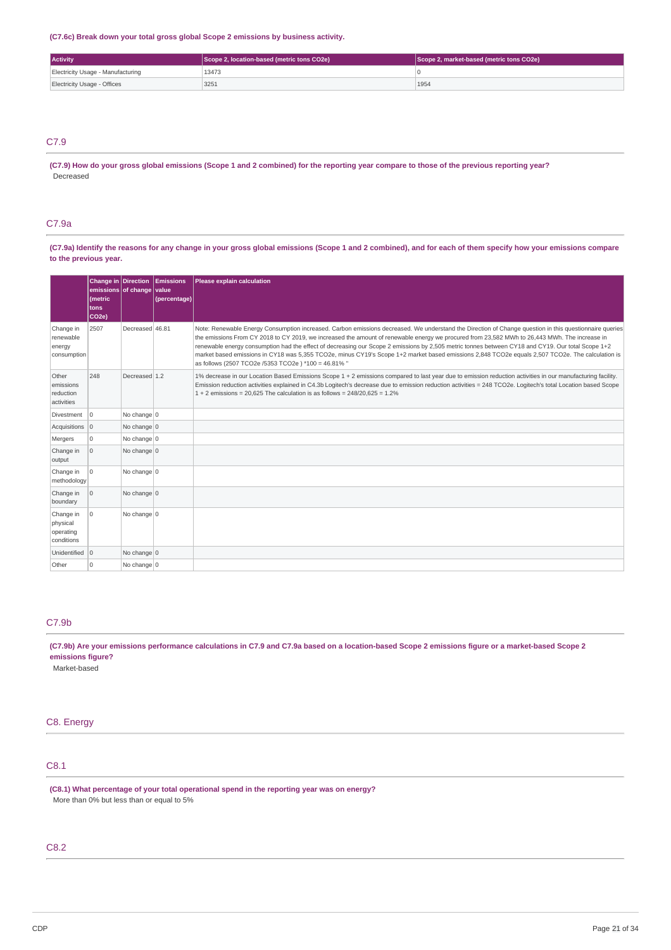**(C7.6c) Break down your total gross global Scope 2 emissions by business activity.**

| <b>Activity</b>                   | Scope 2, location-based (metric tons CO2e) | Scope 2, market-based (metric tons CO2e) |  |
|-----------------------------------|--------------------------------------------|------------------------------------------|--|
| Electricity Usage - Manufacturing | 13473                                      |                                          |  |
| Electricity Usage - Offices       | 3251                                       | 1954                                     |  |

## C7.9

(C7.9) How do your gross global emissions (Scope 1 and 2 combined) for the reporting year compare to those of the previous reporting year? Decreased

### C7.9a

(C7.9a) Identify the reasons for any change in your gross global emissions (Scope 1 and 2 combined), and for each of them specify how your emissions compare **to the previous year.**

|                                                  | emissions of change value<br>(metric<br>tons<br>CO <sub>2e</sub> ) |                 | Change in Direction Emissions<br>(percentage) | Please explain calculation                                                                                                                                                                                                                                                                                                                                                                                                                                                                                                                                                                                                                                              |
|--------------------------------------------------|--------------------------------------------------------------------|-----------------|-----------------------------------------------|-------------------------------------------------------------------------------------------------------------------------------------------------------------------------------------------------------------------------------------------------------------------------------------------------------------------------------------------------------------------------------------------------------------------------------------------------------------------------------------------------------------------------------------------------------------------------------------------------------------------------------------------------------------------------|
| Change in<br>renewable<br>energy<br>consumption  | 2507                                                               | Decreased 46.81 |                                               | Note: Renewable Energy Consumption increased. Carbon emissions decreased. We understand the Direction of Change question in this questionnaire queries<br>the emissions From CY 2018 to CY 2019, we increased the amount of renewable energy we procured from 23,582 MWh to 26,443 MWh. The increase in<br>renewable energy consumption had the effect of decreasing our Scope 2 emissions by 2,505 metric tonnes between CY18 and CY19. Our total Scope 1+2<br>market based emissions in CY18 was 5,355 TCO2e, minus CY19's Scope 1+2 market based emissions 2,848 TCO2e equals 2,507 TCO2e. The calculation is<br>as follows (2507 TCO2e /5353 TCO2e) *100 = 46.81% " |
| Other<br>emissions<br>reduction<br>activities    | 248                                                                | Decreased 1.2   |                                               | 1% decrease in our Location Based Emissions Scope 1 + 2 emissions compared to last year due to emission reduction activities in our manufacturing facility.<br>Emission reduction activities explained in C4.3b Logitech's decrease due to emission reduction activities = 248 TCO2e. Logitech's total Location based Scope<br>$1 + 2$ emissions = 20,625 The calculation is as follows = 248/20,625 = 1.2%                                                                                                                                                                                                                                                             |
| Divestment 0                                     |                                                                    | No change 0     |                                               |                                                                                                                                                                                                                                                                                                                                                                                                                                                                                                                                                                                                                                                                         |
| Acquisitions 0                                   |                                                                    | No change 0     |                                               |                                                                                                                                                                                                                                                                                                                                                                                                                                                                                                                                                                                                                                                                         |
| Mergers                                          | 0                                                                  | No change 0     |                                               |                                                                                                                                                                                                                                                                                                                                                                                                                                                                                                                                                                                                                                                                         |
| Change in<br>output                              | $\overline{0}$                                                     | No change 0     |                                               |                                                                                                                                                                                                                                                                                                                                                                                                                                                                                                                                                                                                                                                                         |
| Change in<br>methodology                         | $\mathbf 0$                                                        | No change 0     |                                               |                                                                                                                                                                                                                                                                                                                                                                                                                                                                                                                                                                                                                                                                         |
| Change in<br>boundary                            | l o                                                                | No change $0$   |                                               |                                                                                                                                                                                                                                                                                                                                                                                                                                                                                                                                                                                                                                                                         |
| Change in<br>physical<br>operating<br>conditions | $\Omega$                                                           | No change 0     |                                               |                                                                                                                                                                                                                                                                                                                                                                                                                                                                                                                                                                                                                                                                         |
| Unidentified 0                                   |                                                                    | No change 0     |                                               |                                                                                                                                                                                                                                                                                                                                                                                                                                                                                                                                                                                                                                                                         |
| Other                                            | $\Omega$                                                           | No change 0     |                                               |                                                                                                                                                                                                                                                                                                                                                                                                                                                                                                                                                                                                                                                                         |

## C7.9b

(C7.9b) Are your emissions performance calculations in C7.9 and C7.9a based on a location-based Scope 2 emissions figure or a market-based Scope 2 **emissions figure?**

Market-based

## C8. Energy

# C8.1

**(C8.1) What percentage of your total operational spend in the reporting year was on energy?** More than 0% but less than or equal to 5%

## C8.2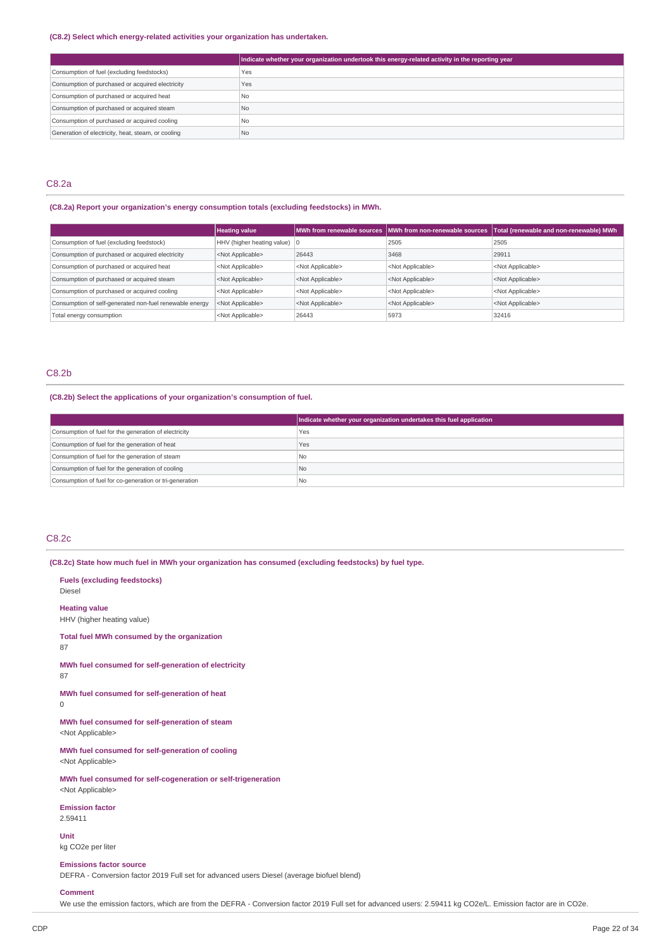### **(C8.2) Select which energy-related activities your organization has undertaken.**

|                                                    | Indicate whether your organization undertook this energy-related activity in the reporting year |
|----------------------------------------------------|-------------------------------------------------------------------------------------------------|
| Consumption of fuel (excluding feedstocks)         | Yes                                                                                             |
| Consumption of purchased or acquired electricity   | Yes                                                                                             |
| Consumption of purchased or acquired heat          | N <sub>o</sub>                                                                                  |
| Consumption of purchased or acquired steam         | N <sub>o</sub>                                                                                  |
| Consumption of purchased or acquired cooling       | N <sub>o</sub>                                                                                  |
| Generation of electricity, heat, steam, or cooling | N <sub>o</sub>                                                                                  |

## C8.2a

### **(C8.2a) Report your organization's energy consumption totals (excluding feedstocks) in MWh.**

|                                                         | <b>Heating value</b>                   |                           |                           | MWh from renewable sources   MWh from non-renewable sources   Total (renewable and non-renewable) MWh |
|---------------------------------------------------------|----------------------------------------|---------------------------|---------------------------|-------------------------------------------------------------------------------------------------------|
| Consumption of fuel (excluding feedstock)               | HHV (higher heating value) $ 0\rangle$ |                           | 2505                      | 2505                                                                                                  |
| Consumption of purchased or acquired electricity        | <not applicable=""></not>              | 26443                     | 3468                      | 29911                                                                                                 |
| Consumption of purchased or acquired heat               | <not applicable=""></not>              | <not applicable=""></not> | <not applicable=""></not> | <not applicable=""></not>                                                                             |
| Consumption of purchased or acquired steam              | <not applicable=""></not>              | <not applicable=""></not> | <not applicable=""></not> | <not applicable=""></not>                                                                             |
| Consumption of purchased or acquired cooling            | <not applicable=""></not>              | <not applicable=""></not> | <not applicable=""></not> | <not applicable=""></not>                                                                             |
| Consumption of self-generated non-fuel renewable energy | <not applicable=""></not>              | <not applicable=""></not> | <not applicable=""></not> | <not applicable=""></not>                                                                             |
| Total energy consumption                                | <not applicable=""></not>              | 26443                     | 5973                      | 32416                                                                                                 |

### C8.2b

#### **(C8.2b) Select the applications of your organization's consumption of fuel.**

|                                                         | Indicate whether your organization undertakes this fuel application |
|---------------------------------------------------------|---------------------------------------------------------------------|
| Consumption of fuel for the generation of electricity   | Yes                                                                 |
| Consumption of fuel for the generation of heat          | Yes                                                                 |
| Consumption of fuel for the generation of steam         | l No                                                                |
| Consumption of fuel for the generation of cooling       | No                                                                  |
| Consumption of fuel for co-generation or tri-generation | l No                                                                |

## C8.2c

**Fuels (excluding feedstocks)**

**(C8.2c) State how much fuel in MWh your organization has consumed (excluding feedstocks) by fuel type.**

Diesel **Heating value** HHV (higher heating value) **Total fuel MWh consumed by the organization** 87 **MWh fuel consumed for self-generation of electricity** 87 **MWh fuel consumed for self-generation of heat**  $\Omega$ **MWh fuel consumed for self-generation of steam** <Not Applicable> **MWh fuel consumed for self-generation of cooling** <Not Applicable> **MWh fuel consumed for self-cogeneration or self-trigeneration** <Not Applicable> **Emission factor** 2.59411 **Unit** kg CO2e per liter **Emissions factor source**

DEFRA - Conversion factor 2019 Full set for advanced users Diesel (average biofuel blend)

### **Comment**

We use the emission factors, which are from the DEFRA - Conversion factor 2019 Full set for advanced users: 2.59411 kg CO2e/L. Emission factor are in CO2e.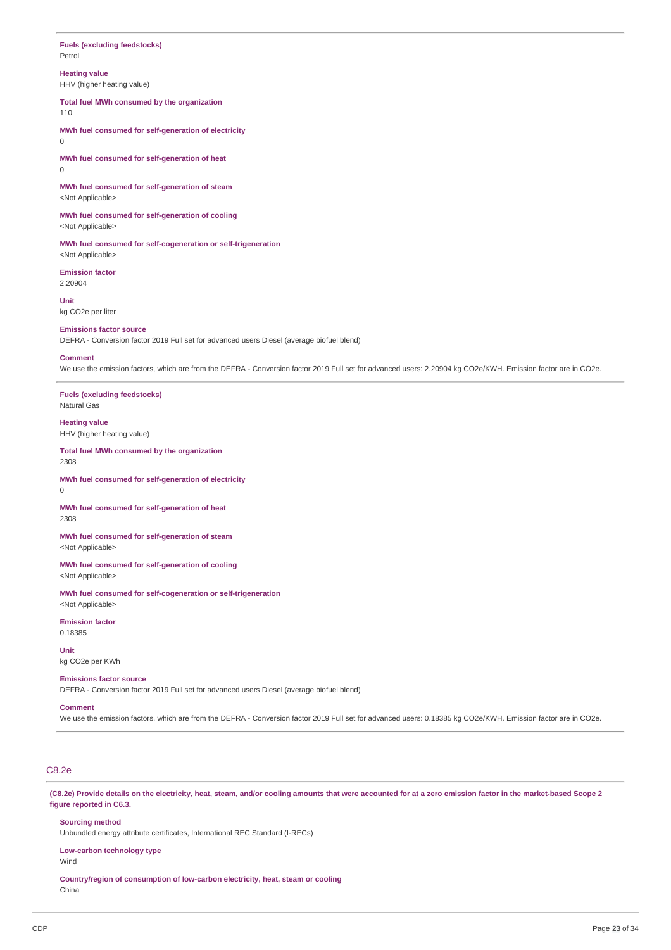### **Fuels (excluding feedstocks)** Petrol

## **Heating value**

HHV (higher heating value)

**Total fuel MWh consumed by the organization** 110

**MWh fuel consumed for self-generation of electricity**  $\theta$ 

**MWh fuel consumed for self-generation of heat** 0

**MWh fuel consumed for self-generation of steam** <Not Applicable>

**MWh fuel consumed for self-generation of cooling** <Not Applicable>

**MWh fuel consumed for self-cogeneration or self-trigeneration** <Not Applicable>

**Emission factor** 2.20904

**Unit** kg CO2e per liter

### **Emissions factor source**

DEFRA - Conversion factor 2019 Full set for advanced users Diesel (average biofuel blend)

#### **Comment**

We use the emission factors, which are from the DEFRA - Conversion factor 2019 Full set for advanced users: 2.20904 kg CO2e/KWH. Emission factor are in CO2e.

**Fuels (excluding feedstocks)** Natural Gas

**Heating value** HHV (higher heating value)

**Total fuel MWh consumed by the organization** 2308

**MWh fuel consumed for self-generation of electricity** 0

**MWh fuel consumed for self-generation of heat** 2308

**MWh fuel consumed for self-generation of steam** <Not Applicable>

**MWh fuel consumed for self-generation of cooling** <Not Applicable>

**MWh fuel consumed for self-cogeneration or self-trigeneration** <Not Applicable>

**Emission factor** 0.18385

**Unit** kg CO2e per KWh

#### **Emissions factor source**

DEFRA - Conversion factor 2019 Full set for advanced users Diesel (average biofuel blend)

## **Comment**

We use the emission factors, which are from the DEFRA - Conversion factor 2019 Full set for advanced users: 0.18385 kg CO2e/KWH. Emission factor are in CO2e.

# C8.2e

(C8.2e) Provide details on the electricity, heat, steam, and/or cooling amounts that were accounted for at a zero emission factor in the market-based Scope 2 **figure reported in C6.3.**

## **Sourcing method**

Unbundled energy attribute certificates, International REC Standard (I-RECs)

#### **Low-carbon technology type**

Wind

**Country/region of consumption of low-carbon electricity, heat, steam or cooling** China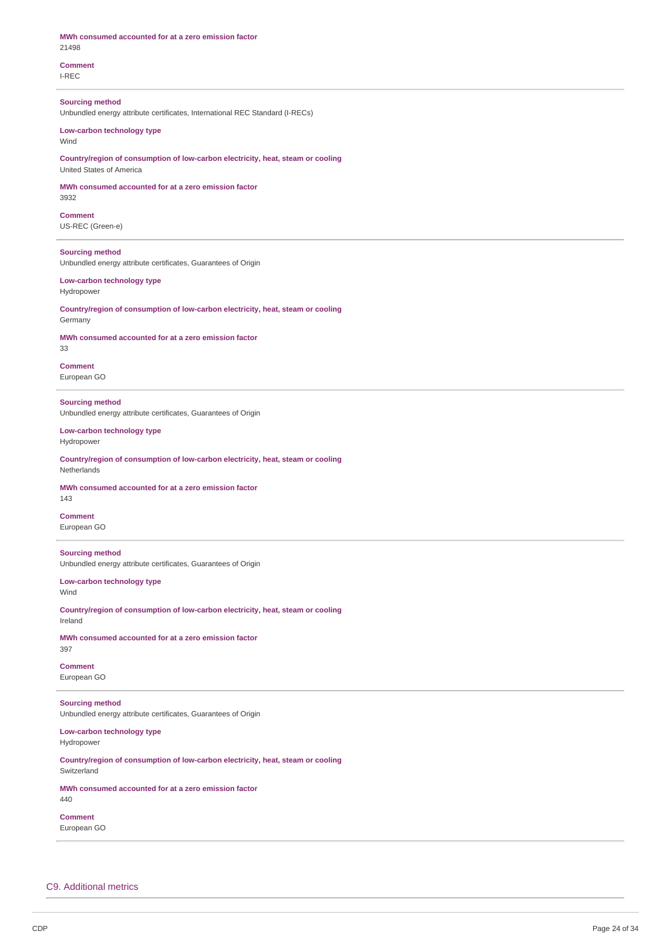| MWh consumed accounted for at a zero emission factor<br>21498                                               |
|-------------------------------------------------------------------------------------------------------------|
| <b>Comment</b><br>I-REC                                                                                     |
| <b>Sourcing method</b><br>Unbundled energy attribute certificates, International REC Standard (I-RECs)      |
| Low-carbon technology type<br>Wind                                                                          |
| Country/region of consumption of low-carbon electricity, heat, steam or cooling<br>United States of America |
| MWh consumed accounted for at a zero emission factor<br>3932                                                |
| <b>Comment</b><br>US-REC (Green-e)                                                                          |
| <b>Sourcing method</b><br>Unbundled energy attribute certificates, Guarantees of Origin                     |
| Low-carbon technology type<br>Hydropower                                                                    |
| Country/region of consumption of low-carbon electricity, heat, steam or cooling<br>Germany                  |
| MWh consumed accounted for at a zero emission factor<br>33                                                  |
| <b>Comment</b><br>European GO                                                                               |
| <b>Sourcing method</b><br>Unbundled energy attribute certificates, Guarantees of Origin                     |
| Low-carbon technology type<br>Hydropower                                                                    |
| Country/region of consumption of low-carbon electricity, heat, steam or cooling<br>Netherlands              |
| MWh consumed accounted for at a zero emission factor<br>143                                                 |
| <b>Comment</b><br>European GO                                                                               |
| <b>Sourcing method</b><br>Unbundled energy attribute certificates, Guarantees of Origin                     |
| Low-carbon technology type<br>Wind                                                                          |
| Country/region of consumption of low-carbon electricity, heat, steam or cooling<br>Ireland                  |
| MWh consumed accounted for at a zero emission factor<br>397                                                 |
| <b>Comment</b><br>European GO                                                                               |
| <b>Sourcing method</b><br>Unbundled energy attribute certificates, Guarantees of Origin                     |
| Low-carbon technology type<br>Hydropower                                                                    |
| Country/region of consumption of low-carbon electricity, heat, steam or cooling<br>Switzerland              |
| MWh consumed accounted for at a zero emission factor<br>440                                                 |
| <b>Comment</b><br>European GO                                                                               |
|                                                                                                             |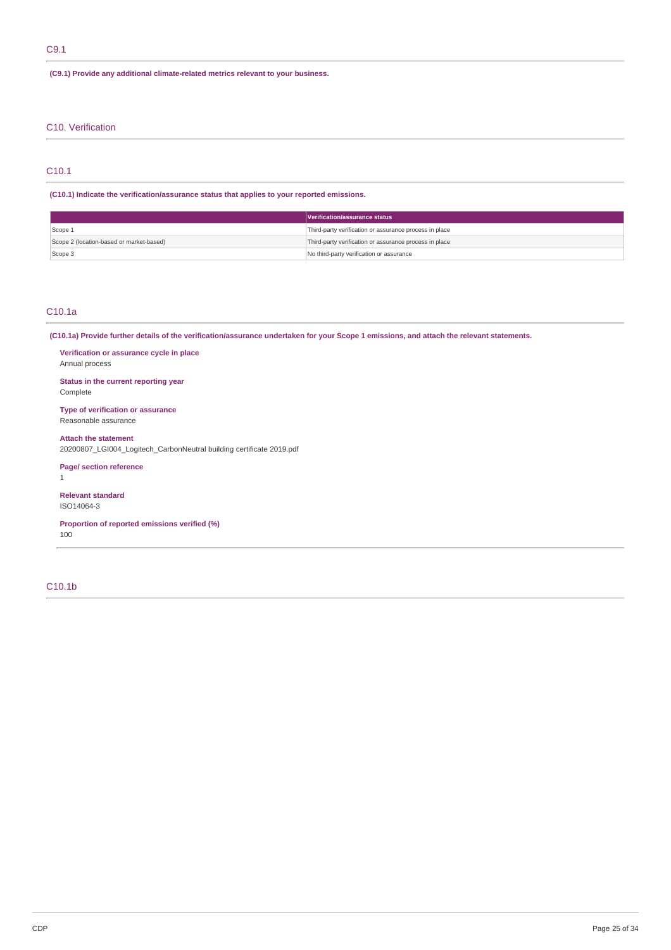### **(C9.1) Provide any additional climate-related metrics relevant to your business.**

## C10. Verification

## C10.1

**(C10.1) Indicate the verification/assurance status that applies to your reported emissions.**

|                                          | Verification/assurance status                          |
|------------------------------------------|--------------------------------------------------------|
| Scope 1                                  | Third-party verification or assurance process in place |
| Scope 2 (location-based or market-based) | Third-party verification or assurance process in place |
| Scope 3                                  | No third-party verification or assurance               |

### C10.1a

(C10.1a) Provide further details of the verification/assurance undertaken for your Scope 1 emissions, and attach the relevant statements.

**Verification or assurance cycle in place** Annual process

**Status in the current reporting year** Complete

**Type of verification or assurance** Reasonable assurance

**Attach the statement** 20200807\_LGI004\_Logitech\_CarbonNeutral building certificate 2019.pdf

**Page/ section reference**

1

**Relevant standard** ISO14064-3

**Proportion of reported emissions verified (%)**

100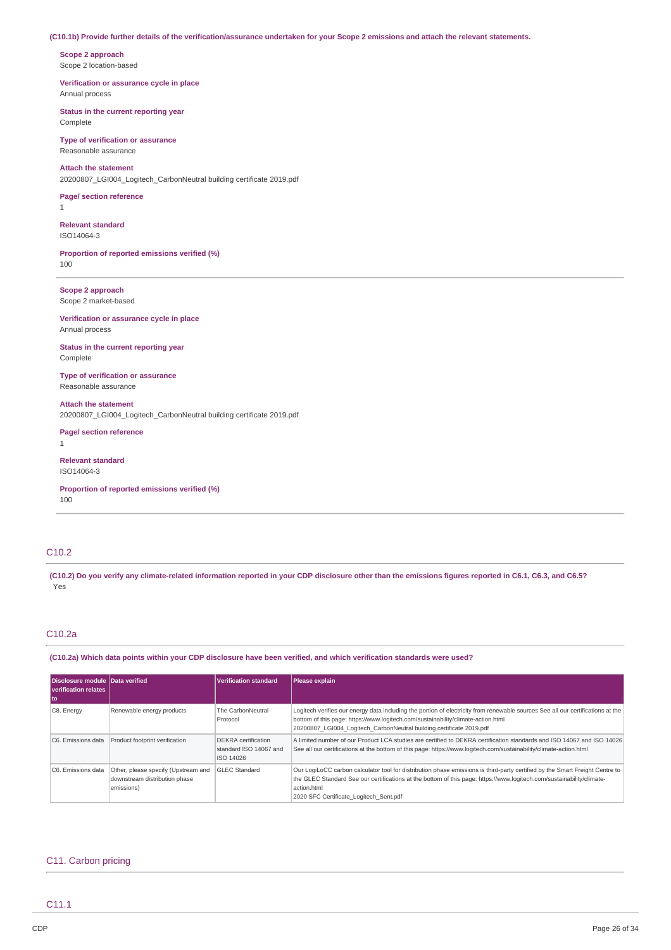#### (C10.1b) Provide further details of the verification/assurance undertaken for your Scope 2 emissions and attach the relevant statements.

**Scope 2 approach** Scope 2 location-based

**Verification or assurance cycle in place** Annual process

**Status in the current reporting year** Complete

**Type of verification or assurance** Reasonable assurance

### **Attach the statement**

20200807\_LGI004\_Logitech\_CarbonNeutral building certificate 2019.pdf

**Page/ section reference** 1

**Relevant standard** ISO14064-3

**Proportion of reported emissions verified (%)** 100

**Scope 2 approach** Scope 2 market-based

**Verification or assurance cycle in place** Annual process

**Status in the current reporting year** Complete

**Type of verification or assurance** Reasonable assurance

**Attach the statement** 20200807\_LGI004\_Logitech\_CarbonNeutral building certificate 2019.pdf

**Page/ section reference** 1

**Relevant standard** ISO14064-3

**Proportion of reported emissions verified (%)** 100

## C10.2

(C10.2) Do you verify any climate-related information reported in your CDP disclosure other than the emissions figures reported in C6.1, C6.3, and C6.5? Yes

## C10.2a

(C10.2a) Which data points within your CDP disclosure have been verified, and which verification standards were used?

| Disclosure module Data verified<br>verification relates<br>  to |                                                                                    | <b>Verification standard</b>                                      | Please explain                                                                                                                                                                                                                                                                                                 |
|-----------------------------------------------------------------|------------------------------------------------------------------------------------|-------------------------------------------------------------------|----------------------------------------------------------------------------------------------------------------------------------------------------------------------------------------------------------------------------------------------------------------------------------------------------------------|
| C8. Energy                                                      | Renewable energy products                                                          | The CarbonNeutral<br>Protocol                                     | Logitech verifies our energy data including the portion of electricity from renewable sources See all our certifications at the<br>bottom of this page: https://www.logitech.com/sustainability/climate-action.html<br>20200807 LGI004 Logitech CarbonNeutral building certificate 2019.pdf                    |
| C6. Emissions data                                              | Product footprint verification                                                     | <b>DEKRA</b> certification<br>standard ISO 14067 and<br>ISO 14026 | A limited number of our Product LCA studies are certified to DEKRA certification standards and ISO 14067 and ISO 14026<br>See all our certifications at the bottom of this page: https://www.logitech.com/sustainability/climate-action.html                                                                   |
| C6. Emissions data                                              | Other, please specify (Upstream and<br>downstream distribution phase<br>emissions) | <b>GLEC Standard</b>                                              | Our LogiLoCC carbon calculator tool for distribution phase emissions is third-party certified by the Smart Freight Centre to<br>the GLEC Standard See our certifications at the bottom of this page: https://www.logitech.com/sustainability/climate-<br>action.html<br>2020 SFC Certificate Logitech Sent.pdf |

## C11. Carbon pricing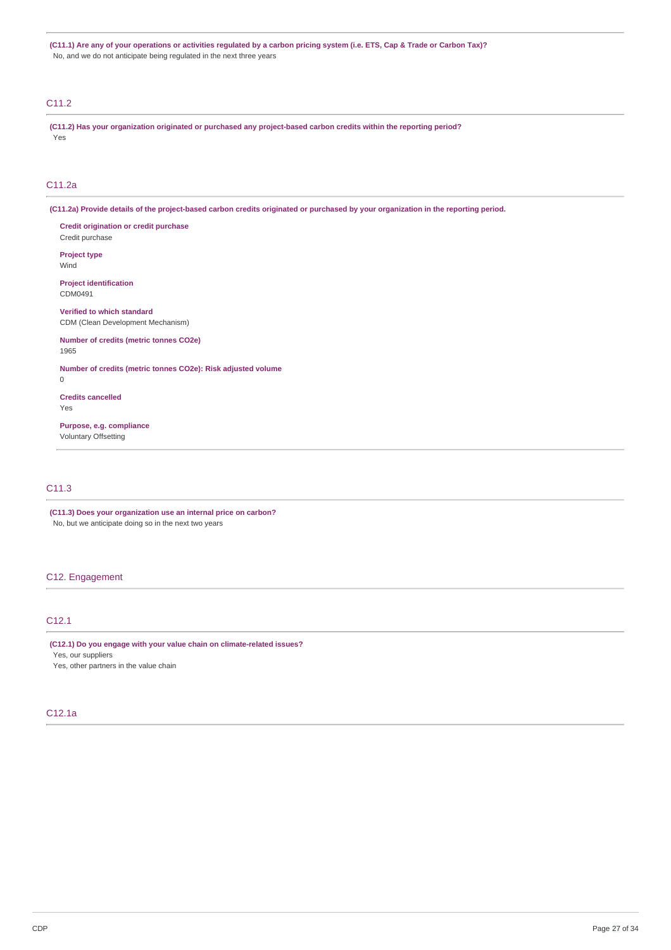(C11.1) Are any of your operations or activities regulated by a carbon pricing system (i.e. ETS, Cap & Trade or Carbon Tax)? No, and we do not anticipate being regulated in the next three years

## C11.2

**(C11.2) Has your organization originated or purchased any project-based carbon credits within the reporting period?** Yes

## C11.2a

(C11.2a) Provide details of the project-based carbon credits originated or purchased by your organization in the reporting period.

**Credit origination or credit purchase** Credit purchase

**Project type** Wind

**Project identification** CDM0491

**Verified to which standard** CDM (Clean Development Mechanism)

**Number of credits (metric tonnes CO2e)** 1965

**Number of credits (metric tonnes CO2e): Risk adjusted volume** 0

**Credits cancelled**

Yes

**Purpose, e.g. compliance** Voluntary Offsetting

## C11.3

**(C11.3) Does your organization use an internal price on carbon?** No, but we anticipate doing so in the next two years

## C12. Engagement

## C12.1

**(C12.1) Do you engage with your value chain on climate-related issues?** Yes, our suppliers

Yes, other partners in the value chain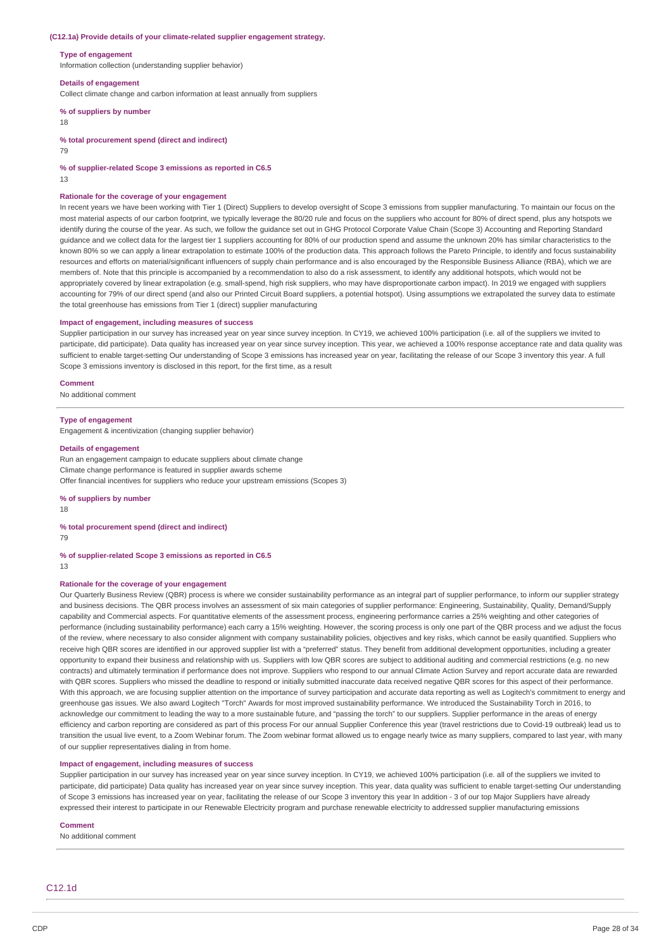#### **(C12.1a) Provide details of your climate-related supplier engagement strategy.**

#### **Type of engagement**

Information collection (understanding supplier behavior)

#### **Details of engagement**

Collect climate change and carbon information at least annually from suppliers

## **% of suppliers by number**

18

**% total procurement spend (direct and indirect)**

79

**% of supplier-related Scope 3 emissions as reported in C6.5**

13

#### **Rationale for the coverage of your engagement**

In recent years we have been working with Tier 1 (Direct) Suppliers to develop oversight of Scope 3 emissions from supplier manufacturing. To maintain our focus on the most material aspects of our carbon footprint, we typically leverage the 80/20 rule and focus on the suppliers who account for 80% of direct spend, plus any hotspots we identify during the course of the year. As such, we follow the guidance set out in GHG Protocol Corporate Value Chain (Scope 3) Accounting and Reporting Standard guidance and we collect data for the largest tier 1 suppliers accounting for 80% of our production spend and assume the unknown 20% has similar characteristics to the known 80% so we can apply a linear extrapolation to estimate 100% of the production data. This approach follows the Pareto Principle, to identify and focus sustainability resources and efforts on material/significant influencers of supply chain performance and is also encouraged by the Responsible Business Alliance (RBA), which we are members of. Note that this principle is accompanied by a recommendation to also do a risk assessment, to identify any additional hotspots, which would not be appropriately covered by linear extrapolation (e.g. small-spend, high risk suppliers, who may have disproportionate carbon impact). In 2019 we engaged with suppliers accounting for 79% of our direct spend (and also our Printed Circuit Board suppliers, a potential hotspot). Using assumptions we extrapolated the survey data to estimate the total greenhouse has emissions from Tier 1 (direct) supplier manufacturing

#### **Impact of engagement, including measures of success**

Supplier participation in our survey has increased year on year since survey inception. In CY19, we achieved 100% participation (i.e. all of the suppliers we invited to participate, did participate). Data quality has increased year on year since survey inception. This year, we achieved a 100% response acceptance rate and data quality was sufficient to enable target-setting Our understanding of Scope 3 emissions has increased year on year, facilitating the release of our Scope 3 inventory this year. A full Scope 3 emissions inventory is disclosed in this report, for the first time, as a result

#### **Comment**

No additional comment

#### **Type of engagement**

Engagement & incentivization (changing supplier behavior)

#### **Details of engagement**

Run an engagement campaign to educate suppliers about climate change Climate change performance is featured in supplier awards scheme Offer financial incentives for suppliers who reduce your upstream emissions (Scopes 3)

#### **% of suppliers by number**

18

## **% total procurement spend (direct and indirect)**

79

### **% of supplier-related Scope 3 emissions as reported in C6.5**

13

#### **Rationale for the coverage of your engagement**

Our Quarterly Business Review (QBR) process is where we consider sustainability performance as an integral part of supplier performance, to inform our supplier strategy and business decisions. The QBR process involves an assessment of six main categories of supplier performance: Engineering, Sustainability, Quality, Demand/Supply capability and Commercial aspects. For quantitative elements of the assessment process, engineering performance carries a 25% weighting and other categories of performance (including sustainability performance) each carry a 15% weighting. However, the scoring process is only one part of the QBR process and we adjust the focus of the review, where necessary to also consider alignment with company sustainability policies, objectives and key risks, which cannot be easily quantified. Suppliers who receive high QBR scores are identified in our approved supplier list with a "preferred" status. They benefit from additional development opportunities, including a greater opportunity to expand their business and relationship with us. Suppliers with low QBR scores are subject to additional auditing and commercial restrictions (e.g. no new contracts) and ultimately termination if performance does not improve. Suppliers who respond to our annual Climate Action Survey and report accurate data are rewarded with OBR scores. Suppliers who missed the deadline to respond or initially submitted inaccurate data received negative OBR scores for this aspect of their performance. With this approach, we are focusing supplier attention on the importance of survey participation and accurate data reporting as well as Logitech's commitment to energy and greenhouse gas issues. We also award Logitech "Torch" Awards for most improved sustainability performance. We introduced the Sustainability Torch in 2016, to acknowledge our commitment to leading the way to a more sustainable future, and "passing the torch" to our suppliers. Supplier performance in the areas of energy efficiency and carbon reporting are considered as part of this process For our annual Supplier Conference this year (travel restrictions due to Covid-19 outbreak) lead us to transition the usual live event, to a Zoom Webinar forum. The Zoom webinar format allowed us to engage nearly twice as many suppliers, compared to last year, with many of our supplier representatives dialing in from home.

## **Impact of engagement, including measures of success**

Supplier participation in our survey has increased year on year since survey inception. In CY19, we achieved 100% participation (i.e. all of the suppliers we invited to participate, did participate) Data quality has increased year on year since survey inception. This year, data quality was sufficient to enable target-setting Our understanding of Scope 3 emissions has increased year on year, facilitating the release of our Scope 3 inventory this year In addition - 3 of our top Major Suppliers have already expressed their interest to participate in our Renewable Electricity program and purchase renewable electricity to addressed supplier manufacturing emissions

#### **Comment**

No additional comment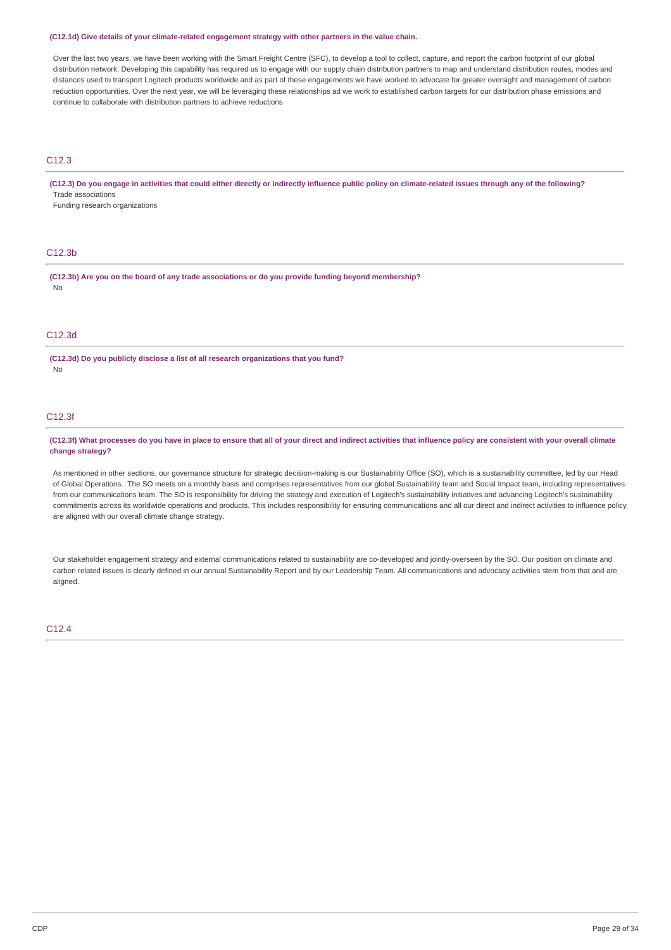#### **(C12.1d) Give details of your climate-related engagement strategy with other partners in the value chain.**

Over the last two years, we have been working with the Smart Freight Centre (SFC), to develop a tool to collect, capture, and report the carbon footprint of our global distribution network. Developing this capability has required us to engage with our supply chain distribution partners to map and understand distribution routes, modes and distances used to transport Logitech products worldwide and as part of these engagements we have worked to advocate for greater oversight and management of carbon reduction opportunities. Over the next year, we will be leveraging these relationships ad we work to established carbon targets for our distribution phase emissions and continue to collaborate with distribution partners to achieve reductions

## C12.3

### (C12.3) Do you engage in activities that could either directly or indirectly influence public policy on climate-related issues through any of the following? Trade associations

Funding research organizations

## C12.3b

**(C12.3b) Are you on the board of any trade associations or do you provide funding beyond membership?** No

### C12.3d

**(C12.3d) Do you publicly disclose a list of all research organizations that you fund?** No

#### C12.3f

(C12.3f) What processes do you have in place to ensure that all of your direct and indirect activities that influence policy are consistent with your overall climate **change strategy?**

As mentioned in other sections, our governance structure for strategic decision-making is our Sustainability Office (SO), which is a sustainability committee, led by our Head of Global Operations. The SO meets on a monthly basis and comprises representatives from our global Sustainability team and Social Impact team, including representatives from our communications team. The SO is responsibility for driving the strategy and execution of Logitech's sustainability initiatives and advancing Logitech's sustainability commitments across its worldwide operations and products. This includes responsibility for ensuring communications and all our direct and indirect activities to influence policy are aligned with our overall climate change strategy.

Our stakeholder engagement strategy and external communications related to sustainability are co-developed and jointly-overseen by the SO. Our position on climate and carbon related issues is clearly defined in our annual Sustainability Report and by our Leadership Team. All communications and advocacy activities stem from that and are aligned.

### $C12A$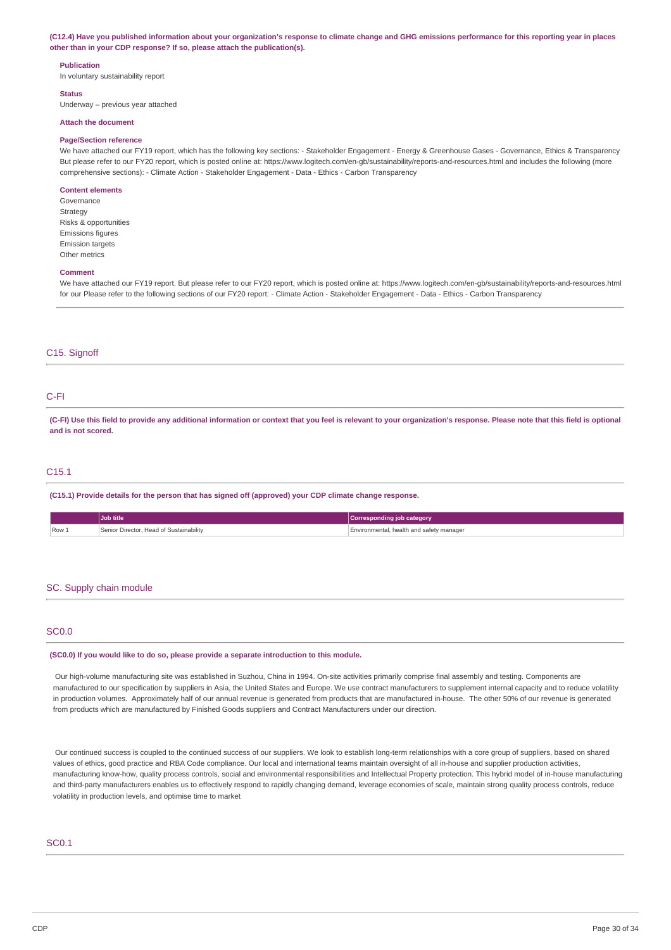#### (C12.4) Have you published information about your organization's response to climate change and GHG emissions performance for this reporting year in places **other than in your CDP response? If so, please attach the publication(s).**

### **Publication**

In voluntary sustainability report

#### **Status**

Underway – previous year attached

#### **Attach the document**

#### **Page/Section reference**

We have attached our FY19 report, which has the following key sections: - Stakeholder Engagement - Energy & Greenhouse Gases - Governance, Ethics & Transparency But please refer to our FY20 report, which is posted online at: https://www.logitech.com/en-gb/sustainability/reports-and-resources.html and includes the following (more comprehensive sections): - Climate Action - Stakeholder Engagement - Data - Ethics - Carbon Transparency

### **Content elements**

Governance Strategy Risks & opportunities Emissions figures Emission targets Other metrics

#### **Comment**

We have attached our FY19 report. But please refer to our FY20 report, which is posted online at: https://www.logitech.com/en-gb/sustainability/reports-and-resources.html for our Please refer to the following sections of our FY20 report: - Climate Action - Stakeholder Engagement - Data - Ethics - Carbon Transparency

## C<sub>15</sub>. Signoff

## C-FI

(C-FI) Use this field to provide any additional information or context that you feel is relevant to your organization's response. Please note that this field is optional **and is not scored.**

### C15.1

**(C15.1) Provide details for the person that has signed off (approved) your CDP climate change response.**

|       | Job title                               | <b>Corresponding job category</b>        |
|-------|-----------------------------------------|------------------------------------------|
| Row 1 | Senior Director, Head of Sustainability | Environmental, health and safety manager |

#### SC. Supply chain module

#### SC0.0

#### **(SC0.0) If you would like to do so, please provide a separate introduction to this module.**

Our high-volume manufacturing site was established in Suzhou, China in 1994. On-site activities primarily comprise final assembly and testing. Components are manufactured to our specification by suppliers in Asia, the United States and Europe. We use contract manufacturers to supplement internal capacity and to reduce volatility in production volumes. Approximately half of our annual revenue is generated from products that are manufactured in-house. The other 50% of our revenue is generated from products which are manufactured by Finished Goods suppliers and Contract Manufacturers under our direction.

Our continued success is coupled to the continued success of our suppliers. We look to establish long-term relationships with a core group of suppliers, based on shared values of ethics, good practice and RBA Code compliance. Our local and international teams maintain oversight of all in-house and supplier production activities, manufacturing know-how, quality process controls, social and environmental responsibilities and Intellectual Property protection. This hybrid model of in-house manufacturing and third-party manufacturers enables us to effectively respond to rapidly changing demand, leverage economies of scale, maintain strong quality process controls, reduce volatility in production levels, and optimise time to market

## SC0.1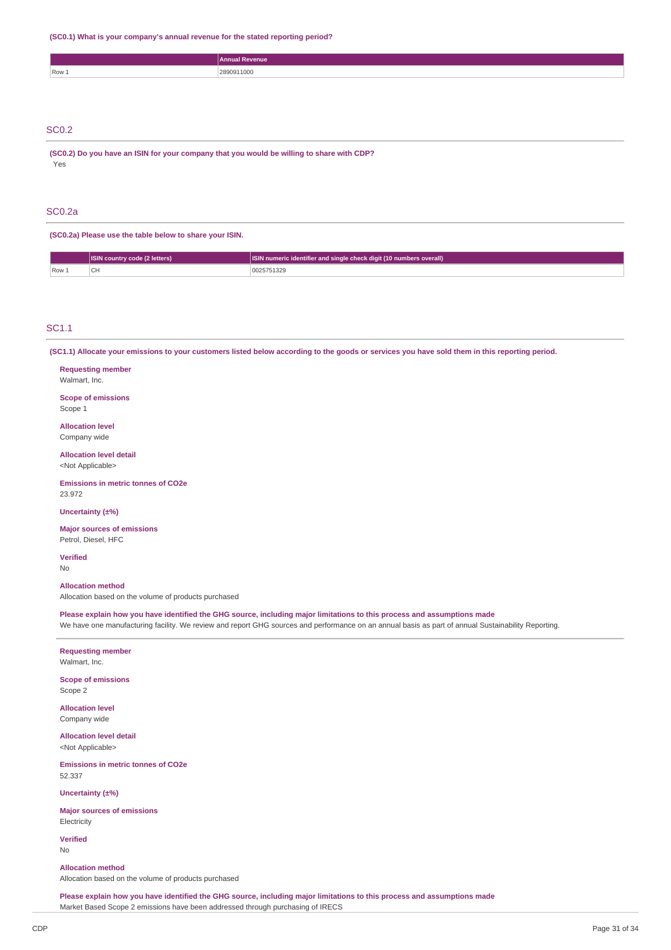**(SC0.1) What is your company's annual revenue for the stated reporting period?**

|              | Annual Revenue |
|--------------|----------------|
| Row 1        | 2890911000     |
|              |                |
|              |                |
|              |                |
| <b>SC0.2</b> |                |

**(SC0.2) Do you have an ISIN for your company that you would be willing to share with CDP?** Yes

### SC0.2a

**(SC0.2a) Please use the table below to share your ISIN.**

|         | <b>ISIN country code (2 letters)</b> | ISIN numeric identifier and single check digit (10 numbers overall) |
|---------|--------------------------------------|---------------------------------------------------------------------|
| $Row_1$ |                                      | 0025751329                                                          |

## SC1.1

(SC1.1) Allocate your emissions to your customers listed below according to the goods or services you have sold them in this reporting period.

#### **Requesting member**

Walmart, Inc.

**Scope of emissions** Scope 1

**Allocation level**

# Company wide

**Allocation level detail** <Not Applicable>

**Emissions in metric tonnes of CO2e**

**Uncertainty (±%)**

**Major sources of emissions** Petrol, Diesel, HFC

**Verified**

23.972

No

## **Allocation method**

Allocation based on the volume of products purchased

Please explain how you have identified the GHG source, including major limitations to this process and assumptions made

We have one manufacturing facility. We review and report GHG sources and performance on an annual basis as part of annual Sustainability Reporting.

#### **Requesting member** Walmart, Inc.

**Scope of emissions** Scope 2

**Allocation level** Company wide

**Allocation level detail** <Not Applicable>

**Emissions in metric tonnes of CO2e** 52.337

**Uncertainty (±%)**

**Major sources of emissions Electricity** 

**Verified** No

**Allocation method** Allocation based on the volume of products purchased

Please explain how you have identified the GHG source, including major limitations to this process and assumptions made Market Based Scope 2 emissions have been addressed through purchasing of IRECS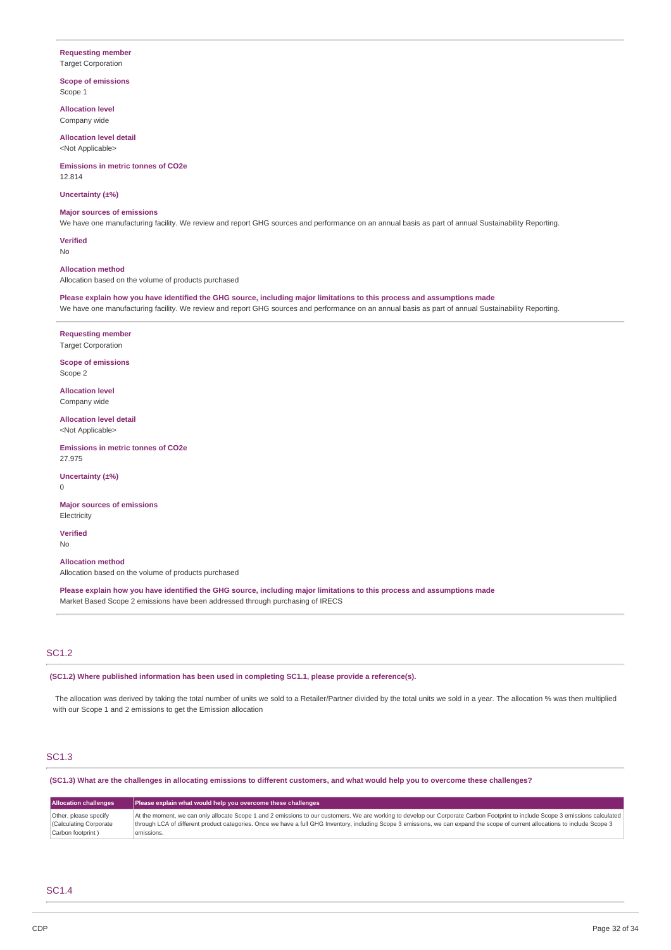### **Requesting member**

Target Corporation

**Scope of emissions** Scope 1

**Allocation level** Company wide

**Allocation level detail** <Not Applicable>

**Emissions in metric tonnes of CO2e** 12.814

**Uncertainty (±%)**

#### **Major sources of emissions**

We have one manufacturing facility. We review and report GHG sources and performance on an annual basis as part of annual Sustainability Reporting.

**Verified** No

**Allocation method**

Allocation based on the volume of products purchased

Please explain how you have identified the GHG source, including major limitations to this process and assumptions made

We have one manufacturing facility. We review and report GHG sources and performance on an annual basis as part of annual Sustainability Reporting.

**Requesting member** Target Corporation

**Scope of emissions** Scope 2

**Allocation level** Company wide

**Allocation level detail** <Not Applicable>

**Emissions in metric tonnes of CO2e** 27.975

**Uncertainty (±%)** 0

**Major sources of emissions Electricity** 

**Verified** No

**Allocation method** Allocation based on the volume of products purchased

Please explain how you have identified the GHG source, including major limitations to this process and assumptions made Market Based Scope 2 emissions have been addressed through purchasing of IRECS

## SC1.2

**(SC1.2) Where published information has been used in completing SC1.1, please provide a reference(s).**

The allocation was derived by taking the total number of units we sold to a Retailer/Partner divided by the total units we sold in a year. The allocation % was then multiplied with our Scope 1 and 2 emissions to get the Emission allocation

## SC1.3

(SC1.3) What are the challenges in allocating emissions to different customers, and what would help you to overcome these challenges?

| <b>Allocation challenges</b> | Please explain what would help you overcome these challenges                                                                                                                   |  |  |
|------------------------------|--------------------------------------------------------------------------------------------------------------------------------------------------------------------------------|--|--|
| Other, please specify        | At the moment, we can only allocate Scope 1 and 2 emissions to our customers. We are working to develop our Corporate Carbon Footprint to include Scope 3 emissions calculated |  |  |
| Calculating Corporate        | through LCA of different product categories. Once we have a full GHG Inventory, including Scope 3 emissions, we can expand the scope of current allocations to include Scope 3 |  |  |
| Carbon footprint)            | emissions.                                                                                                                                                                     |  |  |

## SC1.4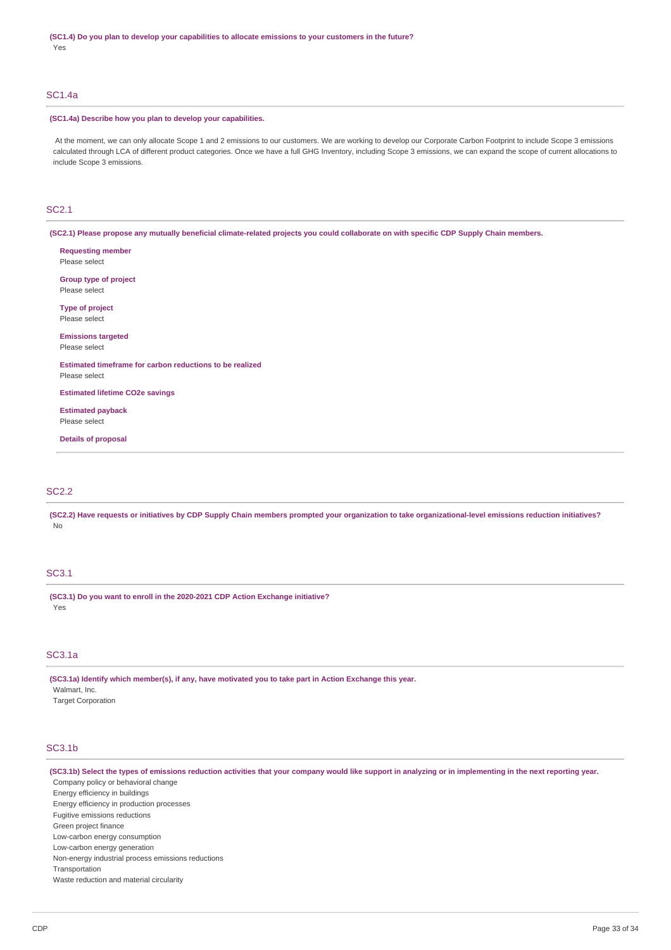### SC1.4a

### **(SC1.4a) Describe how you plan to develop your capabilities.**

At the moment, we can only allocate Scope 1 and 2 emissions to our customers. We are working to develop our Corporate Carbon Footprint to include Scope 3 emissions calculated through LCA of different product categories. Once we have a full GHG Inventory, including Scope 3 emissions, we can expand the scope of current allocations to include Scope 3 emissions.

## SC2.1

(SC2.1) Please propose any mutually beneficial climate-related projects you could collaborate on with specific CDP Supply Chain members.

**Requesting member** Please select **Group type of project** Please select **Type of project** Please select **Emissions targeted** Please select **Estimated timeframe for carbon reductions to be realized** Please select **Estimated lifetime CO2e savings Estimated payback**

Please select

**Details of proposal**

## SC2.2

(SC2.2) Have requests or initiatives by CDP Supply Chain members prompted your organization to take organizational-level emissions reduction initiatives? No

## SC3.1

**(SC3.1) Do you want to enroll in the 2020-2021 CDP Action Exchange initiative?** Yes

### SC3.1a

**(SC3.1a) Identify which member(s), if any, have motivated you to take part in Action Exchange this year.** Walmart, Inc.

Target Corporation

## SC3.1b

(SC3.1b) Select the types of emissions reduction activities that your company would like support in analyzing or in implementing in the next reporting year. Company policy or behavioral change Energy efficiency in buildings Energy efficiency in production processes Fugitive emissions reductions Green project finance Low-carbon energy consumption Low-carbon energy generation Non-energy industrial process emissions reductions Transportation Waste reduction and material circularity